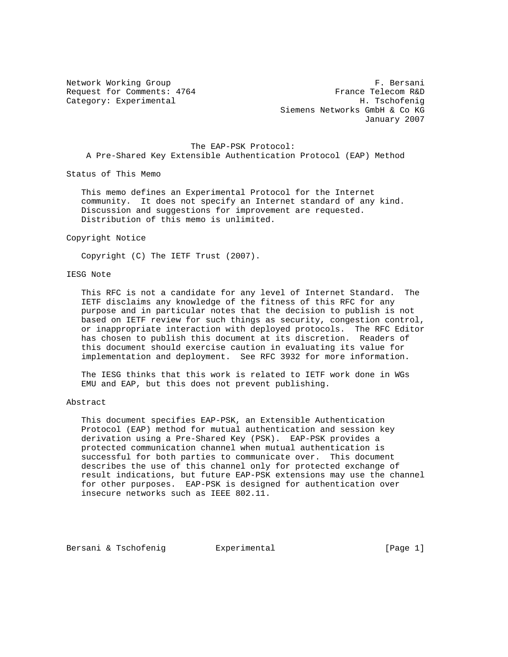Network Working Group **F. Bersani** Request for Comments: 4764 France Telecom R&D Category: Experimental H. Tschofenig Siemens Networks GmbH & Co KG January 2007

 The EAP-PSK Protocol: A Pre-Shared Key Extensible Authentication Protocol (EAP) Method

Status of This Memo

 This memo defines an Experimental Protocol for the Internet community. It does not specify an Internet standard of any kind. Discussion and suggestions for improvement are requested. Distribution of this memo is unlimited.

Copyright Notice

Copyright (C) The IETF Trust (2007).

## IESG Note

 This RFC is not a candidate for any level of Internet Standard. The IETF disclaims any knowledge of the fitness of this RFC for any purpose and in particular notes that the decision to publish is not based on IETF review for such things as security, congestion control, or inappropriate interaction with deployed protocols. The RFC Editor has chosen to publish this document at its discretion. Readers of this document should exercise caution in evaluating its value for implementation and deployment. See RFC 3932 for more information.

 The IESG thinks that this work is related to IETF work done in WGs EMU and EAP, but this does not prevent publishing.

## Abstract

 This document specifies EAP-PSK, an Extensible Authentication Protocol (EAP) method for mutual authentication and session key derivation using a Pre-Shared Key (PSK). EAP-PSK provides a protected communication channel when mutual authentication is successful for both parties to communicate over. This document describes the use of this channel only for protected exchange of result indications, but future EAP-PSK extensions may use the channel for other purposes. EAP-PSK is designed for authentication over insecure networks such as IEEE 802.11.

Bersani & Tschofenig Bxperimental (Page 1)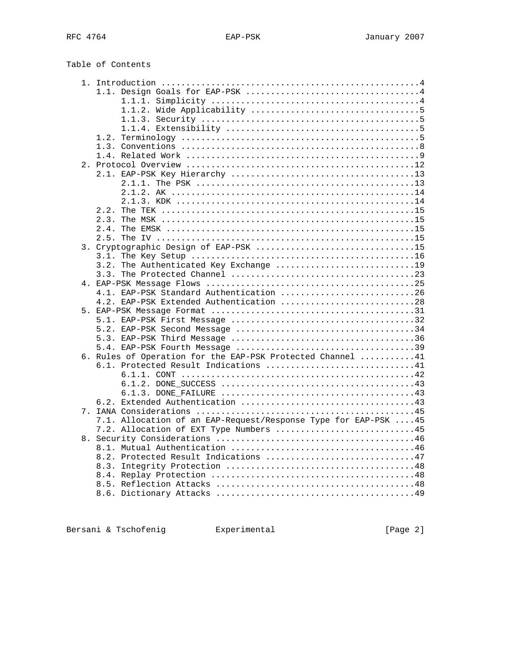| Table of Contents                                                                  |  |
|------------------------------------------------------------------------------------|--|
|                                                                                    |  |
|                                                                                    |  |
|                                                                                    |  |
|                                                                                    |  |
|                                                                                    |  |
| 1.2.                                                                               |  |
|                                                                                    |  |
|                                                                                    |  |
|                                                                                    |  |
|                                                                                    |  |
|                                                                                    |  |
|                                                                                    |  |
| 2.2.                                                                               |  |
| 2.3.                                                                               |  |
|                                                                                    |  |
|                                                                                    |  |
| 3. Cryptographic Design of EAP-PSK 15                                              |  |
|                                                                                    |  |
| The Authenticated Key Exchange 19<br>3.2.                                          |  |
|                                                                                    |  |
|                                                                                    |  |
| 4.1. EAP-PSK Standard Authentication 26<br>4.2. EAP-PSK Extended Authentication 28 |  |
|                                                                                    |  |
|                                                                                    |  |
|                                                                                    |  |
|                                                                                    |  |
|                                                                                    |  |
| 6. Rules of Operation for the EAP-PSK Protected Channel 41                         |  |
| 6.1. Protected Result Indications 41                                               |  |
|                                                                                    |  |
|                                                                                    |  |
|                                                                                    |  |
|                                                                                    |  |
|                                                                                    |  |
| 7.1. Allocation of an EAP-Request/Response Type for EAP-PSK  45                    |  |
| 7.2. Allocation of EXT Type Numbers 45                                             |  |
|                                                                                    |  |
| 8.2. Protected Result Indications 47                                               |  |
|                                                                                    |  |
|                                                                                    |  |
|                                                                                    |  |
|                                                                                    |  |
|                                                                                    |  |

Bersani & Tschofenig **Experimental** [Page 2]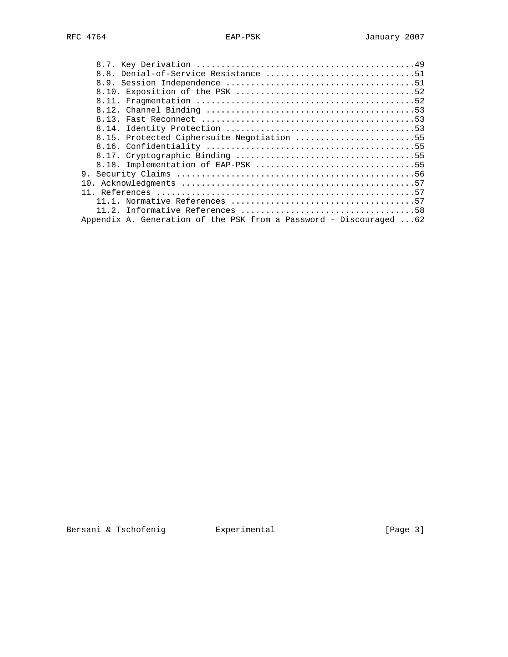| 8.15. Protected Ciphersuite Negotiation 55                         |
|--------------------------------------------------------------------|
|                                                                    |
|                                                                    |
| 8.18. Implementation of EAP-PSK 55                                 |
|                                                                    |
|                                                                    |
|                                                                    |
|                                                                    |
|                                                                    |
| Appendix A. Generation of the PSK from a Password - Discouraged 62 |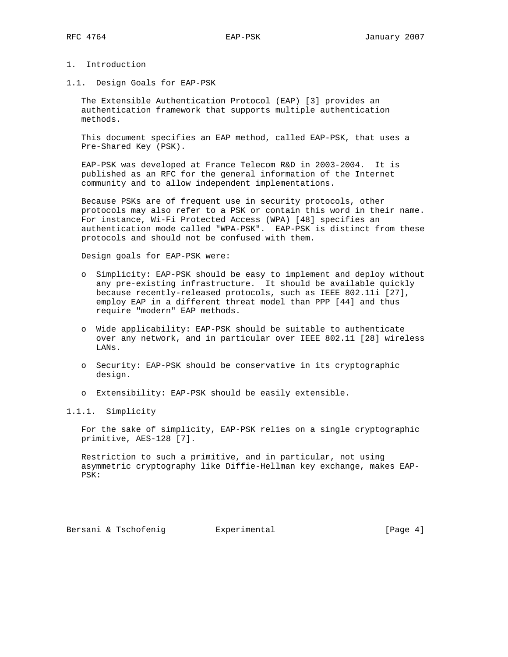- 1. Introduction
- 1.1. Design Goals for EAP-PSK

 The Extensible Authentication Protocol (EAP) [3] provides an authentication framework that supports multiple authentication methods.

 This document specifies an EAP method, called EAP-PSK, that uses a Pre-Shared Key (PSK).

 EAP-PSK was developed at France Telecom R&D in 2003-2004. It is published as an RFC for the general information of the Internet community and to allow independent implementations.

 Because PSKs are of frequent use in security protocols, other protocols may also refer to a PSK or contain this word in their name. For instance, Wi-Fi Protected Access (WPA) [48] specifies an authentication mode called "WPA-PSK". EAP-PSK is distinct from these protocols and should not be confused with them.

Design goals for EAP-PSK were:

- o Simplicity: EAP-PSK should be easy to implement and deploy without any pre-existing infrastructure. It should be available quickly because recently-released protocols, such as IEEE 802.11i [27], employ EAP in a different threat model than PPP [44] and thus require "modern" EAP methods.
- o Wide applicability: EAP-PSK should be suitable to authenticate over any network, and in particular over IEEE 802.11 [28] wireless LANs.
- o Security: EAP-PSK should be conservative in its cryptographic design.
- o Extensibility: EAP-PSK should be easily extensible.

## 1.1.1. Simplicity

 For the sake of simplicity, EAP-PSK relies on a single cryptographic primitive, AES-128 [7].

 Restriction to such a primitive, and in particular, not using asymmetric cryptography like Diffie-Hellman key exchange, makes EAP- PSK: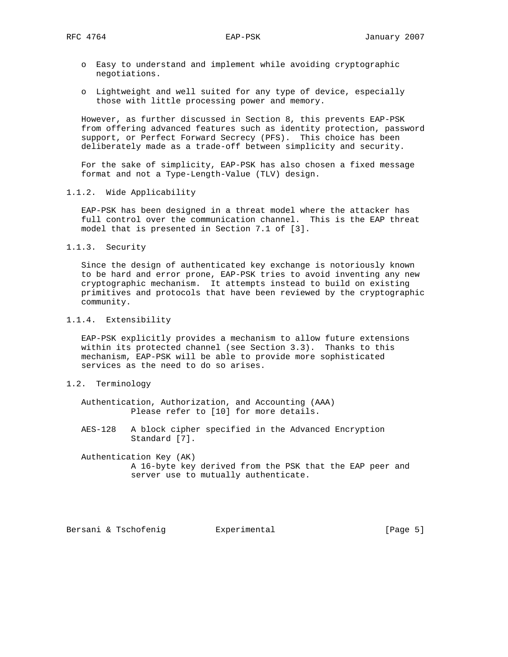- o Easy to understand and implement while avoiding cryptographic negotiations.
- o Lightweight and well suited for any type of device, especially those with little processing power and memory.

 However, as further discussed in Section 8, this prevents EAP-PSK from offering advanced features such as identity protection, password support, or Perfect Forward Secrecy (PFS). This choice has been deliberately made as a trade-off between simplicity and security.

 For the sake of simplicity, EAP-PSK has also chosen a fixed message format and not a Type-Length-Value (TLV) design.

1.1.2. Wide Applicability

 EAP-PSK has been designed in a threat model where the attacker has full control over the communication channel. This is the EAP threat model that is presented in Section 7.1 of [3].

1.1.3. Security

 Since the design of authenticated key exchange is notoriously known to be hard and error prone, EAP-PSK tries to avoid inventing any new cryptographic mechanism. It attempts instead to build on existing primitives and protocols that have been reviewed by the cryptographic community.

## 1.1.4. Extensibility

 EAP-PSK explicitly provides a mechanism to allow future extensions within its protected channel (see Section 3.3). Thanks to this mechanism, EAP-PSK will be able to provide more sophisticated services as the need to do so arises.

1.2. Terminology

 Authentication, Authorization, and Accounting (AAA) Please refer to [10] for more details.

 AES-128 A block cipher specified in the Advanced Encryption Standard [7].

 Authentication Key (AK) A 16-byte key derived from the PSK that the EAP peer and server use to mutually authenticate.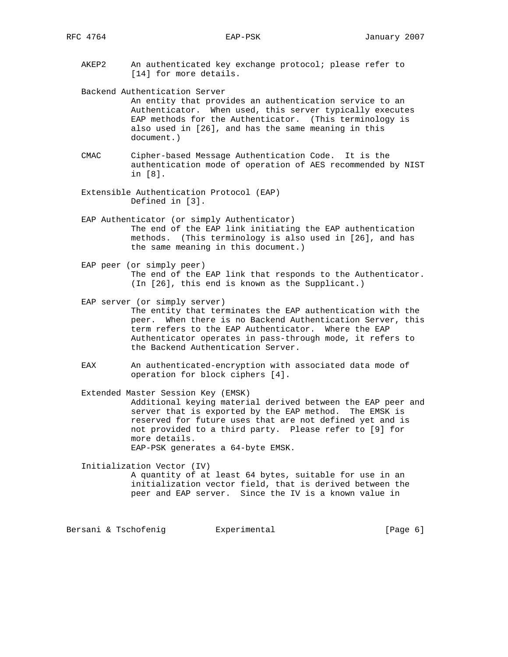AKEP2 An authenticated key exchange protocol; please refer to [14] for more details.

Backend Authentication Server

 An entity that provides an authentication service to an Authenticator. When used, this server typically executes EAP methods for the Authenticator. (This terminology is also used in [26], and has the same meaning in this document.)

- CMAC Cipher-based Message Authentication Code. It is the authentication mode of operation of AES recommended by NIST in [8].
- Extensible Authentication Protocol (EAP) Defined in [3].

 EAP Authenticator (or simply Authenticator) The end of the EAP link initiating the EAP authentication methods. (This terminology is also used in [26], and has the same meaning in this document.)

- EAP peer (or simply peer) The end of the EAP link that responds to the Authenticator. (In [26], this end is known as the Supplicant.)
- EAP server (or simply server) The entity that terminates the EAP authentication with the peer. When there is no Backend Authentication Server, this term refers to the EAP Authenticator. Where the EAP Authenticator operates in pass-through mode, it refers to the Backend Authentication Server.
- EAX An authenticated-encryption with associated data mode of operation for block ciphers [4].

 Extended Master Session Key (EMSK) Additional keying material derived between the EAP peer and server that is exported by the EAP method. The EMSK is reserved for future uses that are not defined yet and is not provided to a third party. Please refer to [9] for more details. EAP-PSK generates a 64-byte EMSK.

Initialization Vector (IV)

 A quantity of at least 64 bytes, suitable for use in an initialization vector field, that is derived between the peer and EAP server. Since the IV is a known value in

Bersani & Tschofenig  $\qquad \qquad$  Experimental  $\qquad \qquad$  [Page 6]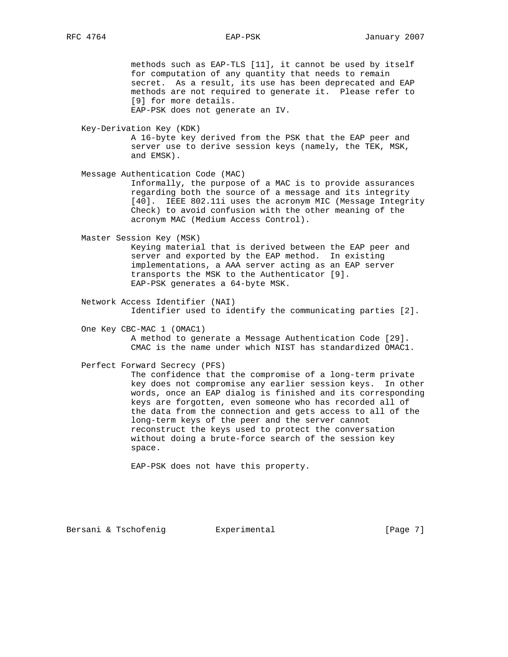methods such as EAP-TLS [11], it cannot be used by itself for computation of any quantity that needs to remain secret. As a result, its use has been deprecated and EAP methods are not required to generate it. Please refer to [9] for more details. EAP-PSK does not generate an IV.

Key-Derivation Key (KDK)

 A 16-byte key derived from the PSK that the EAP peer and server use to derive session keys (namely, the TEK, MSK, and EMSK).

Message Authentication Code (MAC)

 Informally, the purpose of a MAC is to provide assurances regarding both the source of a message and its integrity [40]. IEEE 802.11i uses the acronym MIC (Message Integrity Check) to avoid confusion with the other meaning of the acronym MAC (Medium Access Control).

Master Session Key (MSK)

 Keying material that is derived between the EAP peer and server and exported by the EAP method. In existing implementations, a AAA server acting as an EAP server transports the MSK to the Authenticator [9]. EAP-PSK generates a 64-byte MSK.

- Network Access Identifier (NAI) Identifier used to identify the communicating parties [2].
- One Key CBC-MAC 1 (OMAC1) A method to generate a Message Authentication Code [29]. CMAC is the name under which NIST has standardized OMAC1.
- Perfect Forward Secrecy (PFS)

 The confidence that the compromise of a long-term private key does not compromise any earlier session keys. In other words, once an EAP dialog is finished and its corresponding keys are forgotten, even someone who has recorded all of the data from the connection and gets access to all of the long-term keys of the peer and the server cannot reconstruct the keys used to protect the conversation without doing a brute-force search of the session key space.

EAP-PSK does not have this property.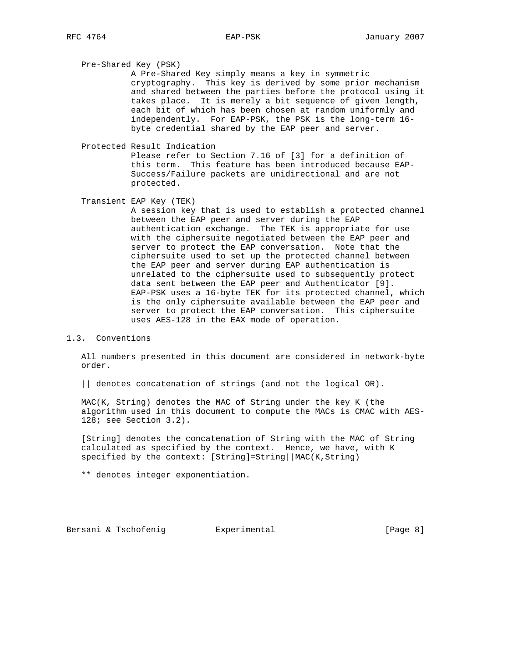Pre-Shared Key (PSK)

 A Pre-Shared Key simply means a key in symmetric cryptography. This key is derived by some prior mechanism and shared between the parties before the protocol using it takes place. It is merely a bit sequence of given length, each bit of which has been chosen at random uniformly and independently. For EAP-PSK, the PSK is the long-term 16 byte credential shared by the EAP peer and server.

Protected Result Indication

 Please refer to Section 7.16 of [3] for a definition of this term. This feature has been introduced because EAP- Success/Failure packets are unidirectional and are not protected.

Transient EAP Key (TEK)

 A session key that is used to establish a protected channel between the EAP peer and server during the EAP authentication exchange. The TEK is appropriate for use with the ciphersuite negotiated between the EAP peer and server to protect the EAP conversation. Note that the ciphersuite used to set up the protected channel between the EAP peer and server during EAP authentication is unrelated to the ciphersuite used to subsequently protect data sent between the EAP peer and Authenticator [9]. EAP-PSK uses a 16-byte TEK for its protected channel, which is the only ciphersuite available between the EAP peer and server to protect the EAP conversation. This ciphersuite uses AES-128 in the EAX mode of operation.

# 1.3. Conventions

 All numbers presented in this document are considered in network-byte order.

|| denotes concatenation of strings (and not the logical OR).

 MAC(K, String) denotes the MAC of String under the key K (the algorithm used in this document to compute the MACs is CMAC with AES- 128; see Section 3.2).

 [String] denotes the concatenation of String with the MAC of String calculated as specified by the context. Hence, we have, with K specified by the context:  $[String] = String | MAC(K, String)$ 

\*\* denotes integer exponentiation.

Bersani & Tschofenig  $\qquad \qquad$  Experimental  $\qquad \qquad$  [Page 8]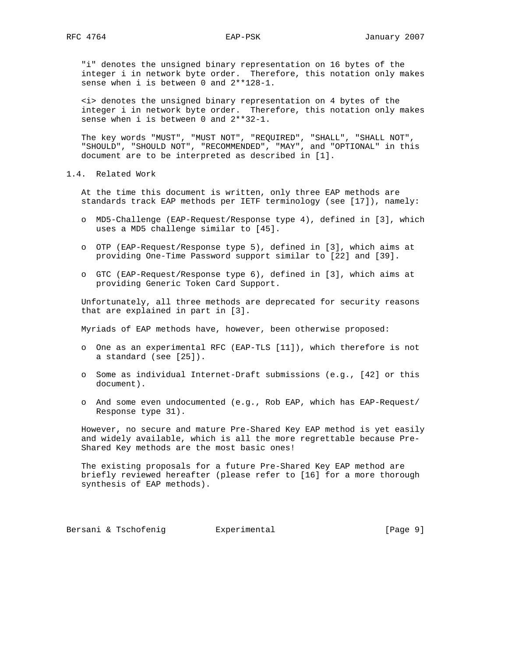"i" denotes the unsigned binary representation on 16 bytes of the integer i in network byte order. Therefore, this notation only makes sense when i is between 0 and 2\*\*128-1.

 <i> denotes the unsigned binary representation on 4 bytes of the integer i in network byte order. Therefore, this notation only makes sense when i is between 0 and 2\*\*32-1.

 The key words "MUST", "MUST NOT", "REQUIRED", "SHALL", "SHALL NOT", "SHOULD", "SHOULD NOT", "RECOMMENDED", "MAY", and "OPTIONAL" in this document are to be interpreted as described in [1].

1.4. Related Work

 At the time this document is written, only three EAP methods are standards track EAP methods per IETF terminology (see [17]), namely:

- o MD5-Challenge (EAP-Request/Response type 4), defined in [3], which uses a MD5 challenge similar to [45].
- o OTP (EAP-Request/Response type 5), defined in [3], which aims at providing One-Time Password support similar to [22] and [39].
- o GTC (EAP-Request/Response type 6), defined in [3], which aims at providing Generic Token Card Support.

 Unfortunately, all three methods are deprecated for security reasons that are explained in part in [3].

Myriads of EAP methods have, however, been otherwise proposed:

- o One as an experimental RFC (EAP-TLS [11]), which therefore is not a standard (see [25]).
- o Some as individual Internet-Draft submissions (e.g., [42] or this document).
- o And some even undocumented (e.g., Rob EAP, which has EAP-Request/ Response type 31).

 However, no secure and mature Pre-Shared Key EAP method is yet easily and widely available, which is all the more regrettable because Pre- Shared Key methods are the most basic ones!

 The existing proposals for a future Pre-Shared Key EAP method are briefly reviewed hereafter (please refer to [16] for a more thorough synthesis of EAP methods).

Bersani & Tschofenig  $\qquad \qquad$  Experimental  $\qquad \qquad$  [Page 9]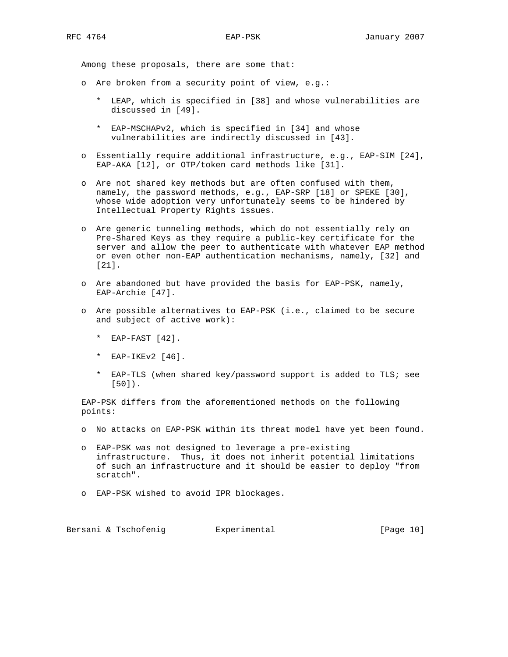Among these proposals, there are some that:

- o Are broken from a security point of view, e.g.:
	- \* LEAP, which is specified in [38] and whose vulnerabilities are discussed in [49].
	- \* EAP-MSCHAPv2, which is specified in [34] and whose vulnerabilities are indirectly discussed in [43].
- o Essentially require additional infrastructure, e.g., EAP-SIM [24], EAP-AKA [12], or OTP/token card methods like [31].
- o Are not shared key methods but are often confused with them, namely, the password methods, e.g., EAP-SRP [18] or SPEKE [30], whose wide adoption very unfortunately seems to be hindered by Intellectual Property Rights issues.
- o Are generic tunneling methods, which do not essentially rely on Pre-Shared Keys as they require a public-key certificate for the server and allow the peer to authenticate with whatever EAP method or even other non-EAP authentication mechanisms, namely, [32] and [21].
- o Are abandoned but have provided the basis for EAP-PSK, namely, EAP-Archie [47].
- o Are possible alternatives to EAP-PSK (i.e., claimed to be secure and subject of active work):
	- \* EAP-FAST [42].
	- \* EAP-IKEv2 [46].
	- \* EAP-TLS (when shared key/password support is added to TLS; see [50]).

 EAP-PSK differs from the aforementioned methods on the following points:

- o No attacks on EAP-PSK within its threat model have yet been found.
- o EAP-PSK was not designed to leverage a pre-existing infrastructure. Thus, it does not inherit potential limitations of such an infrastructure and it should be easier to deploy "from scratch".
- o EAP-PSK wished to avoid IPR blockages.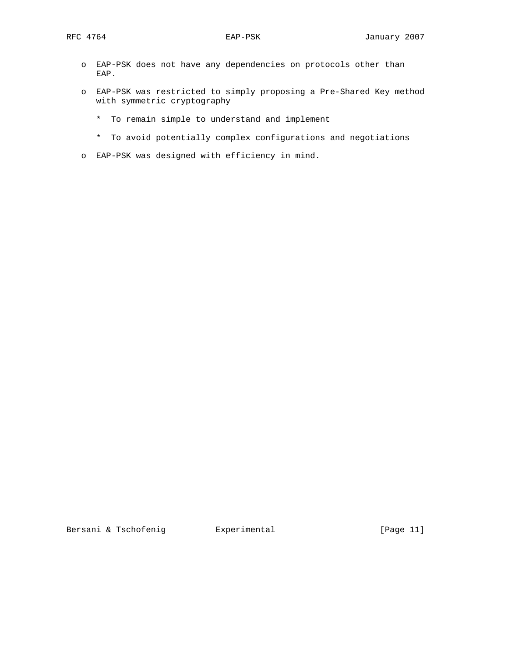- o EAP-PSK does not have any dependencies on protocols other than EAP.
- o EAP-PSK was restricted to simply proposing a Pre-Shared Key method with symmetric cryptography
	- \* To remain simple to understand and implement
	- \* To avoid potentially complex configurations and negotiations
- o EAP-PSK was designed with efficiency in mind.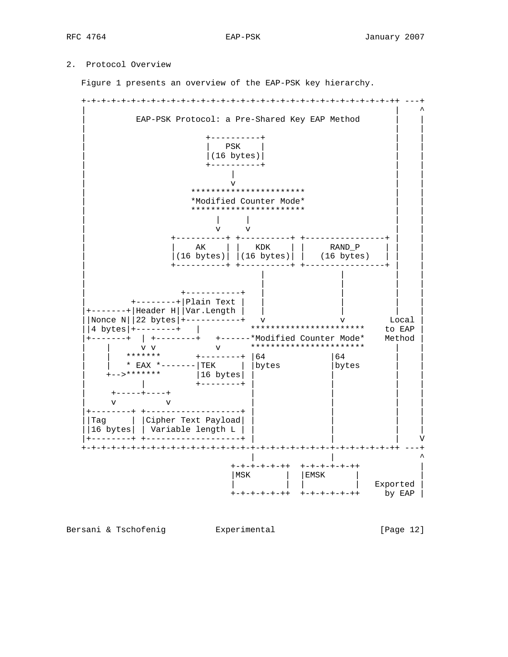# 2. Protocol Overview

Figure 1 presents an overview of the EAP-PSK key hierarchy.

 +-+-+-+-+-+-+-+-+-+-+-+-+-+-+-+-+-+-+-+-+-+-+-+-+-+-+-+-+-+-+-++ ---+ | | ^ EAP-PSK Protocol: a Pre-Shared Key EAP Method | | | | +----------+ | | | PSK |  $|(16 \text{ bytes})|$  | +----------+ | | | | | | | v | | \*\*\*\*\*\*\*\*\*\*\*\*\*\*\*\*\*\*\*\*\* | \*Modified Counter Mode\* | | \*\*\*\*\*\*\*\*\*\*\*\*\*\*\*\*\*\*\*\*\* | | | | |  $\mathbf v$  v | +----------+ +----------+ +----------------+ | |  $AK \parallel$  |  $KDK \parallel$  | | RAND\_P |  $|(16 \text{ bytes})| | (16 \text{ bytes})| | (16 \text{ bytes})$  | +----------+ +----------+ +----------------+ | | | | | | | | | | | | | +-----------+ | | | | | +--------+|Plain Text | | | | | |+-------+|Header H||Var.Length | | | | | ||Nonce N||22 bytes|+-----------+ v v Local | ||4 bytes|+--------+ | \*\*\*\*\*\*\*\*\*\*\*\*\*\*\*\*\*\*\*\*\*\*\* to EAP | |+-------+ | +--------+ +------\*Modified Counter Mode\* Method | | | v v v \*\*\*\*\*\*\*\*\*\*\*\*\*\*\*\*\*\*\*\*\*\*\* | | | | \*\*\*\*\*\*\* +-------+ |64 | |64 | | | | \* EAX \*-------|TEK | |bytes |bytes | | | +-->\*\*\*\*\*\*\* |16 bytes| | | | | | +--------+ | +-----+----+ | | | | | v v | | | | | |+--------+ +-------------------+ | | | | ||Tag | |Cipher Text Payload| | | | | ||16 bytes| | Variable length L | | | | | |+--------+ +-------------------+ | | | V +-+-+-+-+-+-+-+-+-+-+-+-+-+-+-+-+-+-+-+-+-+-+-+-+-+-+-+-+-+-+-++ ---+ | | ^ +-+-+-+-+-++ +-+-+-+-+-++ | |MSK | |EMSK | | | | | | Exported | +-+-+-+-+-++ +-+-+-+-+-++ by EAP

Bersani & Tschofenig **Experimental Experimental** [Page 12]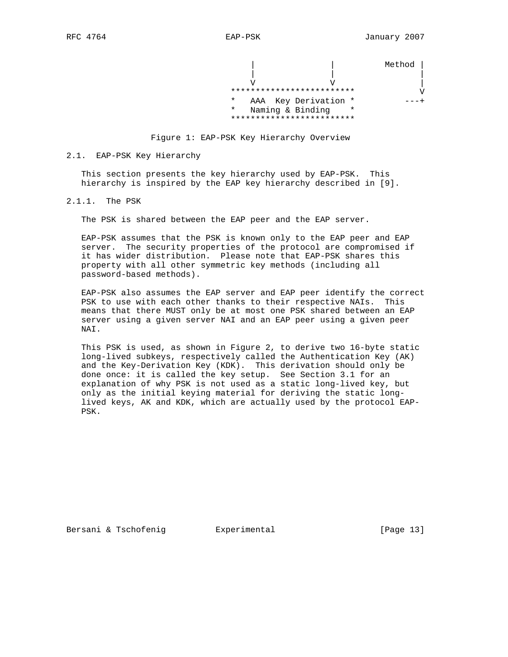Method |

 | | |  $\mathbf V$   $\mathbf V$   $\mathbf V$   $\mathbf V$   $\mathbf V$   $\mathbf V$   $\mathbf V$   $\mathbf V$   $\mathbf V$   $\mathbf V$   $\mathbf V$   $\mathbf V$   $\mathbf V$   $\mathbf V$   $\mathbf V$   $\mathbf V$   $\mathbf V$   $\mathbf V$   $\mathbf V$   $\mathbf V$   $\mathbf V$   $\mathbf V$   $\mathbf V$   $\mathbf V$   $\mathbf V$   $\mathbf V$   $\mathbf V$   $\mathbf V$   $\mathbf V$   $\mathbf V$   $\mathbf V$   $\mathbf$  \*\*\*\*\*\*\*\*\*\*\*\*\*\*\*\*\*\*\*\*\*\*\*\*\* V \* AAA Key Derivation \* ---+ \* Naming & Binding \* \*\*\*\*\*\*\*\*\*\*\*\*\*\*\*\*\*\*\*\*\*\*\*\*\*



#### 2.1. EAP-PSK Key Hierarchy

 This section presents the key hierarchy used by EAP-PSK. This hierarchy is inspired by the EAP key hierarchy described in [9].

2.1.1. The PSK

The PSK is shared between the EAP peer and the EAP server.

 EAP-PSK assumes that the PSK is known only to the EAP peer and EAP server. The security properties of the protocol are compromised if it has wider distribution. Please note that EAP-PSK shares this property with all other symmetric key methods (including all password-based methods).

 EAP-PSK also assumes the EAP server and EAP peer identify the correct PSK to use with each other thanks to their respective NAIs. This means that there MUST only be at most one PSK shared between an EAP server using a given server NAI and an EAP peer using a given peer NAI.

 This PSK is used, as shown in Figure 2, to derive two 16-byte static long-lived subkeys, respectively called the Authentication Key (AK) and the Key-Derivation Key (KDK). This derivation should only be done once: it is called the key setup. See Section 3.1 for an explanation of why PSK is not used as a static long-lived key, but only as the initial keying material for deriving the static long lived keys, AK and KDK, which are actually used by the protocol EAP- PSK.

Bersani & Tschofenig  $\qquad \qquad$  Experimental [Page 13]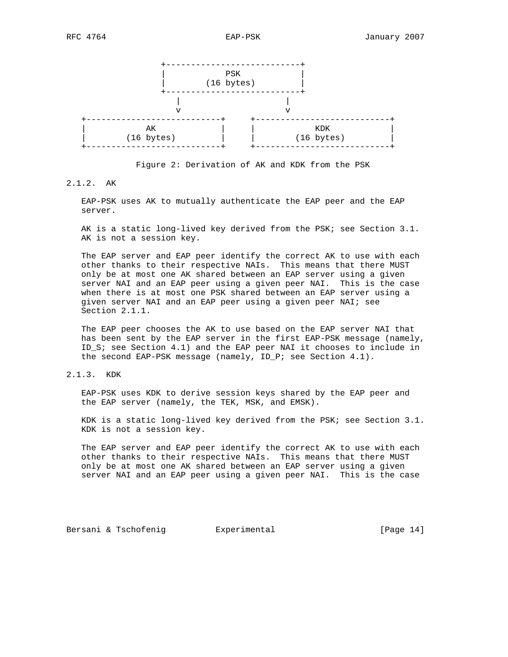

Figure 2: Derivation of AK and KDK from the PSK

# 2.1.2. AK

 EAP-PSK uses AK to mutually authenticate the EAP peer and the EAP server.

 AK is a static long-lived key derived from the PSK; see Section 3.1. AK is not a session key.

 The EAP server and EAP peer identify the correct AK to use with each other thanks to their respective NAIs. This means that there MUST only be at most one AK shared between an EAP server using a given server NAI and an EAP peer using a given peer NAI. This is the case when there is at most one PSK shared between an EAP server using a given server NAI and an EAP peer using a given peer NAI; see Section 2.1.1.

 The EAP peer chooses the AK to use based on the EAP server NAI that has been sent by the EAP server in the first EAP-PSK message (namely, ID\_S; see Section 4.1) and the EAP peer NAI it chooses to include in the second EAP-PSK message (namely, ID\_P; see Section 4.1).

# 2.1.3. KDK

 EAP-PSK uses KDK to derive session keys shared by the EAP peer and the EAP server (namely, the TEK, MSK, and EMSK).

 KDK is a static long-lived key derived from the PSK; see Section 3.1. KDK is not a session key.

 The EAP server and EAP peer identify the correct AK to use with each other thanks to their respective NAIs. This means that there MUST only be at most one AK shared between an EAP server using a given server NAI and an EAP peer using a given peer NAI. This is the case

Bersani & Tschofenig **Experimental Experimental** [Page 14]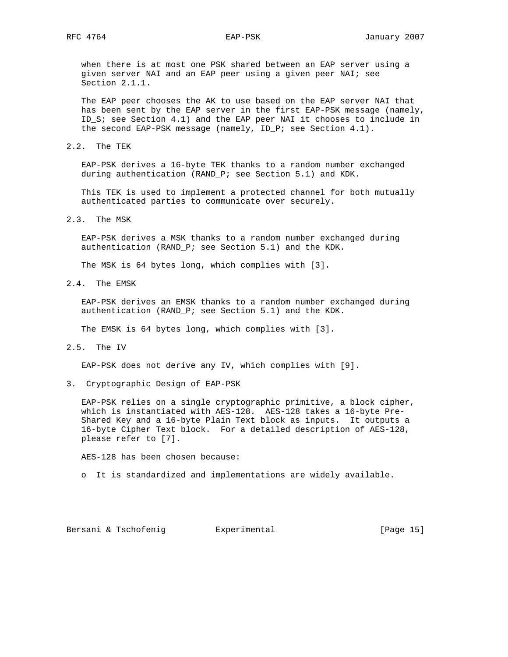when there is at most one PSK shared between an EAP server using a given server NAI and an EAP peer using a given peer NAI; see Section 2.1.1.

 The EAP peer chooses the AK to use based on the EAP server NAI that has been sent by the EAP server in the first EAP-PSK message (namely, ID\_S; see Section 4.1) and the EAP peer NAI it chooses to include in the second EAP-PSK message (namely, ID\_P; see Section 4.1).

2.2. The TEK

 EAP-PSK derives a 16-byte TEK thanks to a random number exchanged during authentication (RAND\_P; see Section 5.1) and KDK.

 This TEK is used to implement a protected channel for both mutually authenticated parties to communicate over securely.

2.3. The MSK

 EAP-PSK derives a MSK thanks to a random number exchanged during authentication (RAND\_P; see Section 5.1) and the KDK.

The MSK is 64 bytes long, which complies with [3].

2.4. The EMSK

 EAP-PSK derives an EMSK thanks to a random number exchanged during authentication (RAND\_P; see Section 5.1) and the KDK.

The EMSK is 64 bytes long, which complies with [3].

2.5. The IV

EAP-PSK does not derive any IV, which complies with [9].

3. Cryptographic Design of EAP-PSK

 EAP-PSK relies on a single cryptographic primitive, a block cipher, which is instantiated with AES-128. AES-128 takes a 16-byte Pre- Shared Key and a 16-byte Plain Text block as inputs. It outputs a 16-byte Cipher Text block. For a detailed description of AES-128, please refer to [7].

AES-128 has been chosen because:

o It is standardized and implementations are widely available.

Bersani & Tschofenig **Experimental Experimental** [Page 15]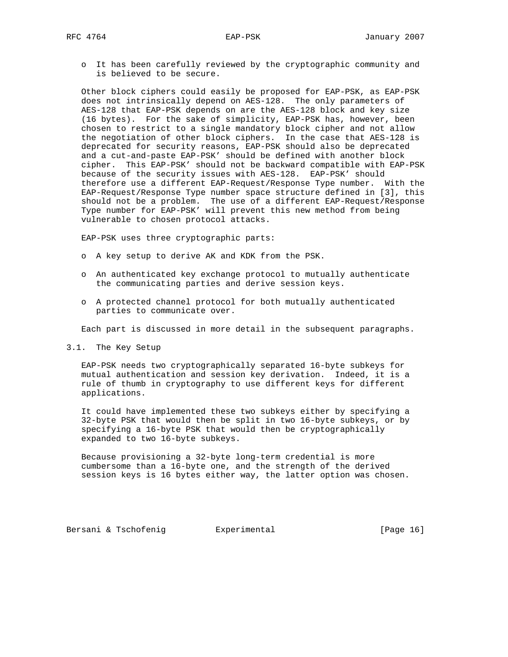o It has been carefully reviewed by the cryptographic community and is believed to be secure.

 Other block ciphers could easily be proposed for EAP-PSK, as EAP-PSK does not intrinsically depend on AES-128. The only parameters of AES-128 that EAP-PSK depends on are the AES-128 block and key size (16 bytes). For the sake of simplicity, EAP-PSK has, however, been chosen to restrict to a single mandatory block cipher and not allow the negotiation of other block ciphers. In the case that AES-128 is deprecated for security reasons, EAP-PSK should also be deprecated and a cut-and-paste EAP-PSK' should be defined with another block cipher. This EAP-PSK' should not be backward compatible with EAP-PSK because of the security issues with AES-128. EAP-PSK' should therefore use a different EAP-Request/Response Type number. With the EAP-Request/Response Type number space structure defined in [3], this should not be a problem. The use of a different EAP-Request/Response Type number for EAP-PSK' will prevent this new method from being vulnerable to chosen protocol attacks.

EAP-PSK uses three cryptographic parts:

- o A key setup to derive AK and KDK from the PSK.
- o An authenticated key exchange protocol to mutually authenticate the communicating parties and derive session keys.
- o A protected channel protocol for both mutually authenticated parties to communicate over.

Each part is discussed in more detail in the subsequent paragraphs.

3.1. The Key Setup

 EAP-PSK needs two cryptographically separated 16-byte subkeys for mutual authentication and session key derivation. Indeed, it is a rule of thumb in cryptography to use different keys for different applications.

 It could have implemented these two subkeys either by specifying a 32-byte PSK that would then be split in two 16-byte subkeys, or by specifying a 16-byte PSK that would then be cryptographically expanded to two 16-byte subkeys.

 Because provisioning a 32-byte long-term credential is more cumbersome than a 16-byte one, and the strength of the derived session keys is 16 bytes either way, the latter option was chosen.

Bersani & Tschofenig  $\qquad \qquad$  Experimental  $\qquad \qquad$  [Page 16]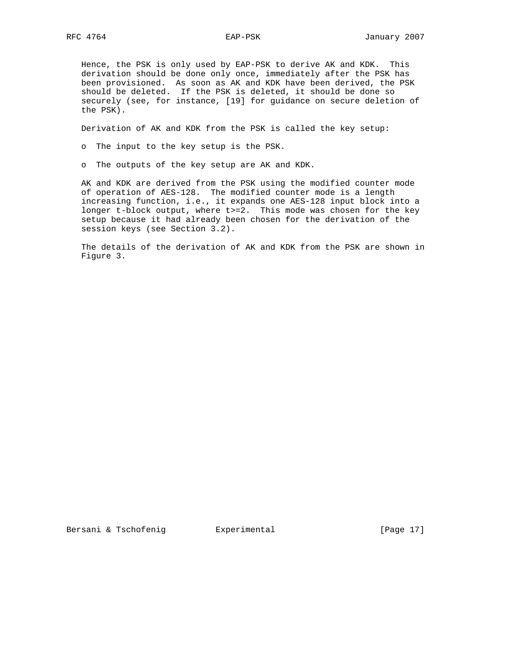Hence, the PSK is only used by EAP-PSK to derive AK and KDK. This derivation should be done only once, immediately after the PSK has been provisioned. As soon as AK and KDK have been derived, the PSK should be deleted. If the PSK is deleted, it should be done so securely (see, for instance, [19] for guidance on secure deletion of the PSK).

Derivation of AK and KDK from the PSK is called the key setup:

o The input to the key setup is the PSK.

o The outputs of the key setup are AK and KDK.

 AK and KDK are derived from the PSK using the modified counter mode of operation of AES-128. The modified counter mode is a length increasing function, i.e., it expands one AES-128 input block into a longer t-block output, where t>=2. This mode was chosen for the key setup because it had already been chosen for the derivation of the session keys (see Section 3.2).

 The details of the derivation of AK and KDK from the PSK are shown in Figure 3.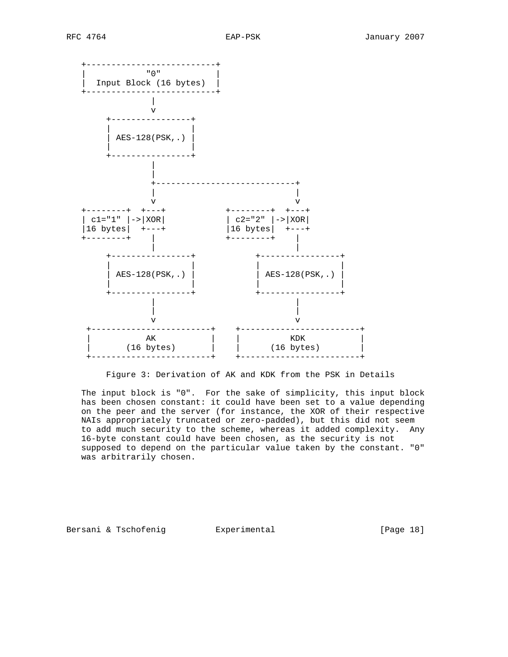

Figure 3: Derivation of AK and KDK from the PSK in Details

 The input block is "0". For the sake of simplicity, this input block has been chosen constant: it could have been set to a value depending on the peer and the server (for instance, the XOR of their respective NAIs appropriately truncated or zero-padded), but this did not seem to add much security to the scheme, whereas it added complexity. Any 16-byte constant could have been chosen, as the security is not supposed to depend on the particular value taken by the constant. "0" was arbitrarily chosen.

Bersani & Tschofenig **Experimental Experimental** [Page 18]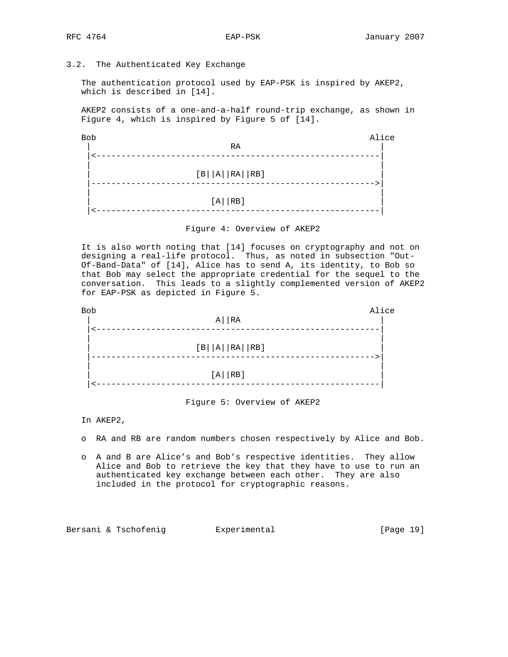# 3.2. The Authenticated Key Exchange

 The authentication protocol used by EAP-PSK is inspired by AKEP2, which is described in [14].

 AKEP2 consists of a one-and-a-half round-trip exchange, as shown in Figure 4, which is inspired by Figure 5 of [14].

| Bob              | Alice |
|------------------|-------|
| RA               |       |
|                  |       |
| $[B  A  RA  RB]$ |       |
|                  |       |
| $[A \mid RB]$    |       |
|                  |       |



 It is also worth noting that [14] focuses on cryptography and not on designing a real-life protocol. Thus, as noted in subsection "Out- Of-Band-Data" of [14], Alice has to send A, its identity, to Bob so that Bob may select the appropriate credential for the sequel to the conversation. This leads to a slightly complemented version of AKEP2 for EAP-PSK as depicted in Figure 5.

| <b>Bob</b> | $A \mid R$                  | Alice |
|------------|-----------------------------|-------|
|            | $[ B     A     RA     RB ]$ |       |
|            | $[A \mid R B]$              |       |

Figure 5: Overview of AKEP2

In AKEP2,

- o RA and RB are random numbers chosen respectively by Alice and Bob.
- o A and B are Alice's and Bob's respective identities. They allow Alice and Bob to retrieve the key that they have to use to run an authenticated key exchange between each other. They are also included in the protocol for cryptographic reasons.

Bersani & Tschofenig  $\qquad \qquad$  Experimental [Page 19]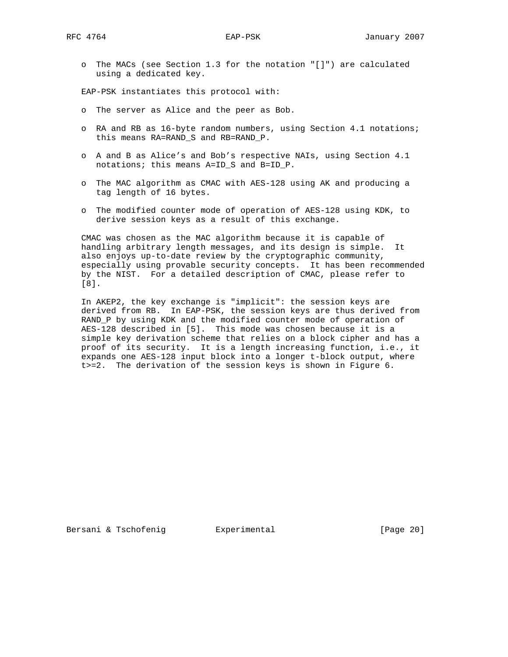o The MACs (see Section 1.3 for the notation "[]") are calculated using a dedicated key.

EAP-PSK instantiates this protocol with:

- o The server as Alice and the peer as Bob.
- o RA and RB as 16-byte random numbers, using Section 4.1 notations; this means RA=RAND\_S and RB=RAND\_P.
- o A and B as Alice's and Bob's respective NAIs, using Section 4.1 notations; this means A=ID\_S and B=ID\_P.
- o The MAC algorithm as CMAC with AES-128 using AK and producing a tag length of 16 bytes.
- o The modified counter mode of operation of AES-128 using KDK, to derive session keys as a result of this exchange.

 CMAC was chosen as the MAC algorithm because it is capable of handling arbitrary length messages, and its design is simple. It also enjoys up-to-date review by the cryptographic community, especially using provable security concepts. It has been recommended by the NIST. For a detailed description of CMAC, please refer to [8].

 In AKEP2, the key exchange is "implicit": the session keys are derived from RB. In EAP-PSK, the session keys are thus derived from RAND\_P by using KDK and the modified counter mode of operation of AES-128 described in [5]. This mode was chosen because it is a simple key derivation scheme that relies on a block cipher and has a proof of its security. It is a length increasing function, i.e., it expands one AES-128 input block into a longer t-block output, where t>=2. The derivation of the session keys is shown in Figure 6.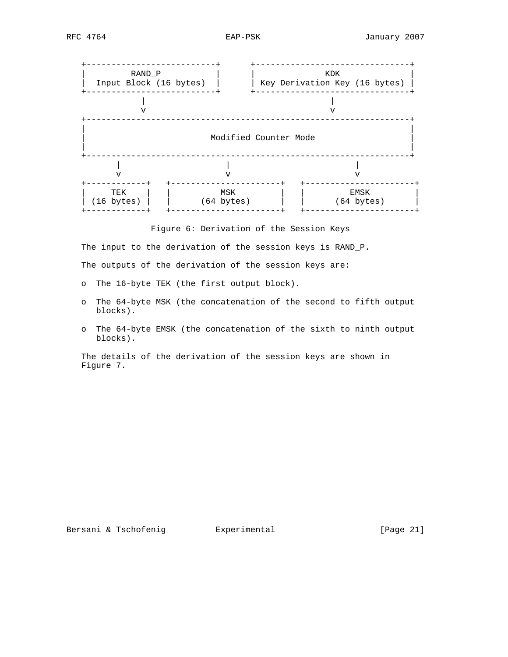

Figure 6: Derivation of the Session Keys

 The input to the derivation of the session keys is RAND\_P. The outputs of the derivation of the session keys are:

- o The 16-byte TEK (the first output block).
- o The 64-byte MSK (the concatenation of the second to fifth output blocks).
- o The 64-byte EMSK (the concatenation of the sixth to ninth output blocks).

 The details of the derivation of the session keys are shown in Figure 7.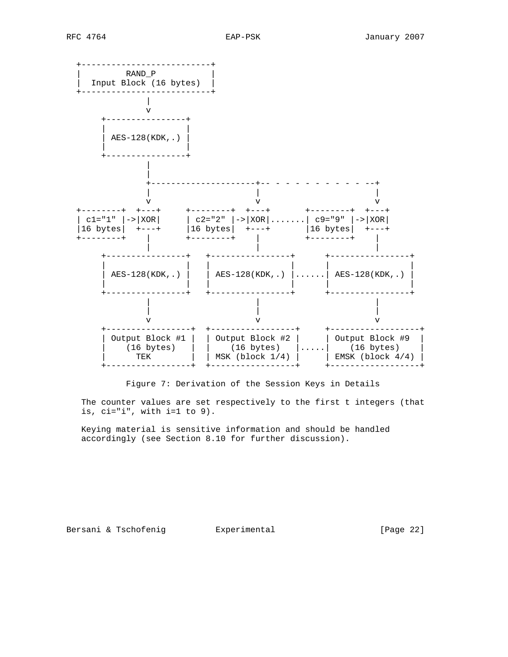

Figure 7: Derivation of the Session Keys in Details

 The counter values are set respectively to the first t integers (that is,  $ci="i", with i=1 to 9).$ 

 Keying material is sensitive information and should be handled accordingly (see Section 8.10 for further discussion).

Bersani & Tschofenig **Experimental Experimental** [Page 22]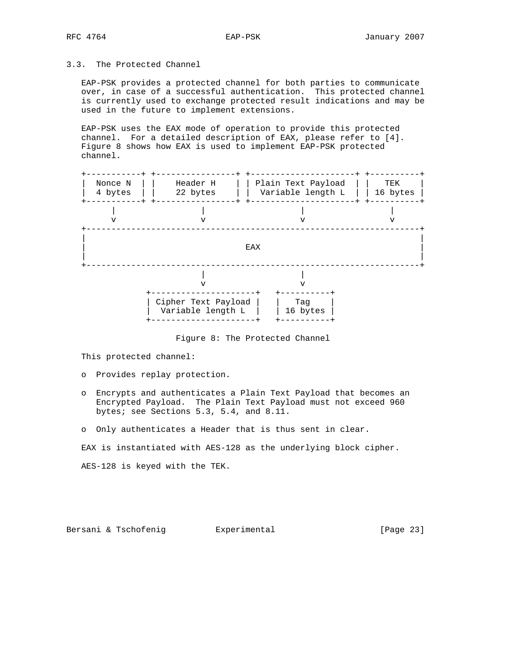# 3.3. The Protected Channel

 EAP-PSK provides a protected channel for both parties to communicate over, in case of a successful authentication. This protected channel is currently used to exchange protected result indications and may be used in the future to implement extensions.

 EAP-PSK uses the EAX mode of operation to provide this protected channel. For a detailed description of EAX, please refer to [4]. Figure 8 shows how EAX is used to implement EAP-PSK protected channel.



Figure 8: The Protected Channel

This protected channel:

- o Provides replay protection.
- o Encrypts and authenticates a Plain Text Payload that becomes an Encrypted Payload. The Plain Text Payload must not exceed 960 bytes; see Sections 5.3, 5.4, and 8.11.
- o Only authenticates a Header that is thus sent in clear.

EAX is instantiated with AES-128 as the underlying block cipher.

AES-128 is keyed with the TEK.

Bersani & Tschofenig **Experimental Experimental** [Page 23]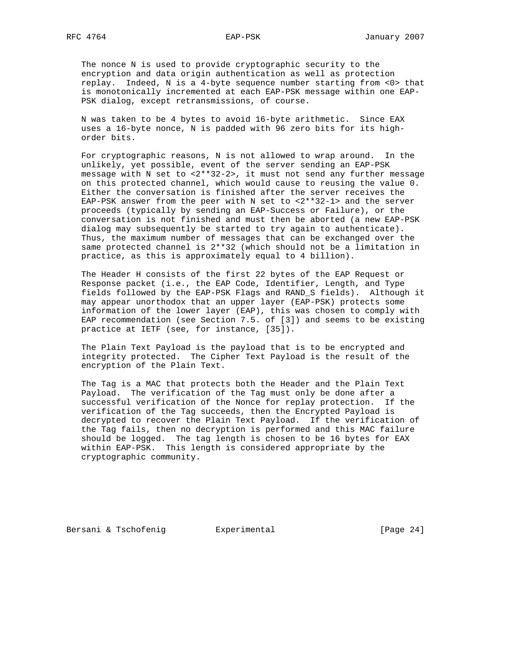The nonce N is used to provide cryptographic security to the encryption and data origin authentication as well as protection replay. Indeed, N is a 4-byte sequence number starting from <0> that is monotonically incremented at each EAP-PSK message within one EAP- PSK dialog, except retransmissions, of course.

 N was taken to be 4 bytes to avoid 16-byte arithmetic. Since EAX uses a 16-byte nonce, N is padded with 96 zero bits for its high order bits.

 For cryptographic reasons, N is not allowed to wrap around. In the unlikely, yet possible, event of the server sending an EAP-PSK message with N set to <2\*\*32-2>, it must not send any further message on this protected channel, which would cause to reusing the value 0. Either the conversation is finished after the server receives the EAP-PSK answer from the peer with N set to <2\*\*32-1> and the server proceeds (typically by sending an EAP-Success or Failure), or the conversation is not finished and must then be aborted (a new EAP-PSK dialog may subsequently be started to try again to authenticate). Thus, the maximum number of messages that can be exchanged over the same protected channel is 2\*\*32 (which should not be a limitation in practice, as this is approximately equal to 4 billion).

 The Header H consists of the first 22 bytes of the EAP Request or Response packet (i.e., the EAP Code, Identifier, Length, and Type fields followed by the EAP-PSK Flags and RAND\_S fields). Although it may appear unorthodox that an upper layer (EAP-PSK) protects some information of the lower layer (EAP), this was chosen to comply with EAP recommendation (see Section 7.5. of [3]) and seems to be existing practice at IETF (see, for instance, [35]).

 The Plain Text Payload is the payload that is to be encrypted and integrity protected. The Cipher Text Payload is the result of the encryption of the Plain Text.

 The Tag is a MAC that protects both the Header and the Plain Text Payload. The verification of the Tag must only be done after a successful verification of the Nonce for replay protection. If the verification of the Tag succeeds, then the Encrypted Payload is decrypted to recover the Plain Text Payload. If the verification of the Tag fails, then no decryption is performed and this MAC failure should be logged. The tag length is chosen to be 16 bytes for EAX within EAP-PSK. This length is considered appropriate by the cryptographic community.

Bersani & Tschofenig **Experimental** [Page 24]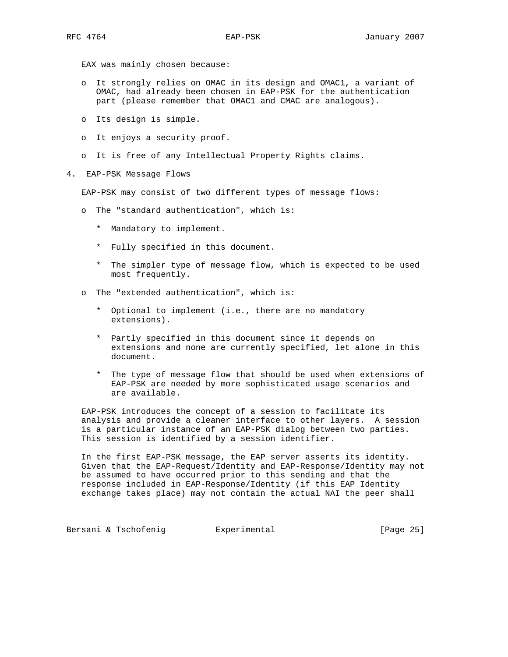EAX was mainly chosen because:

- o It strongly relies on OMAC in its design and OMAC1, a variant of OMAC, had already been chosen in EAP-PSK for the authentication part (please remember that OMAC1 and CMAC are analogous).
- o Its design is simple.
- o It enjoys a security proof.
- o It is free of any Intellectual Property Rights claims.
- 4. EAP-PSK Message Flows

EAP-PSK may consist of two different types of message flows:

- o The "standard authentication", which is:
	- \* Mandatory to implement.
	- \* Fully specified in this document.
	- \* The simpler type of message flow, which is expected to be used most frequently.
- o The "extended authentication", which is:
	- \* Optional to implement (i.e., there are no mandatory extensions).
	- \* Partly specified in this document since it depends on extensions and none are currently specified, let alone in this document.
	- \* The type of message flow that should be used when extensions of EAP-PSK are needed by more sophisticated usage scenarios and are available.

 EAP-PSK introduces the concept of a session to facilitate its analysis and provide a cleaner interface to other layers. A session is a particular instance of an EAP-PSK dialog between two parties. This session is identified by a session identifier.

 In the first EAP-PSK message, the EAP server asserts its identity. Given that the EAP-Request/Identity and EAP-Response/Identity may not be assumed to have occurred prior to this sending and that the response included in EAP-Response/Identity (if this EAP Identity exchange takes place) may not contain the actual NAI the peer shall

Bersani & Tschofenig **Experimental Experimental** [Page 25]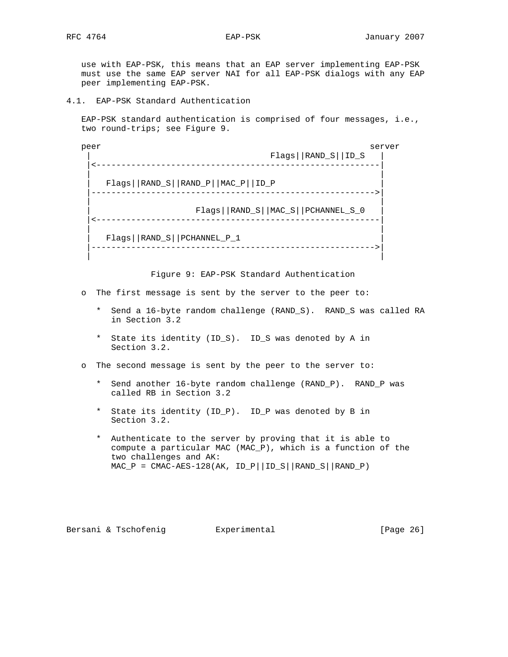use with EAP-PSK, this means that an EAP server implementing EAP-PSK must use the same EAP server NAI for all EAP-PSK dialogs with any EAP peer implementing EAP-PSK.

4.1. EAP-PSK Standard Authentication

 EAP-PSK standard authentication is comprised of four messages, i.e., two round-trips; see Figure 9.

peer server server server server server server server server server server server | Flags||RAND\_S||ID\_S | |<---------------------------------------------------------| | | | Flags||RAND\_S||RAND\_P||MAC\_P||ID\_P | |--------------------------------------------------------->| | | | Flags||RAND\_S||MAC\_S||PCHANNEL\_S\_0 | |<---------------------------------------------------------| | | | Flags||RAND\_S||PCHANNEL\_P\_1 | |--------------------------------------------------------->| | |

Figure 9: EAP-PSK Standard Authentication

- o The first message is sent by the server to the peer to:
	- \* Send a 16-byte random challenge (RAND\_S). RAND\_S was called RA in Section 3.2
	- \* State its identity (ID\_S). ID\_S was denoted by A in Section 3.2.
- o The second message is sent by the peer to the server to:
	- \* Send another 16-byte random challenge (RAND\_P). RAND\_P was called RB in Section 3.2
	- \* State its identity (ID\_P). ID\_P was denoted by B in Section 3.2.
	- \* Authenticate to the server by proving that it is able to compute a particular MAC (MAC\_P), which is a function of the two challenges and AK:  $MAC_P = CMAC-AES-128(AK, ID_P||ID_S||RAND_S||RAND_P)$

Bersani & Tschofenig **Experimental** [Page 26]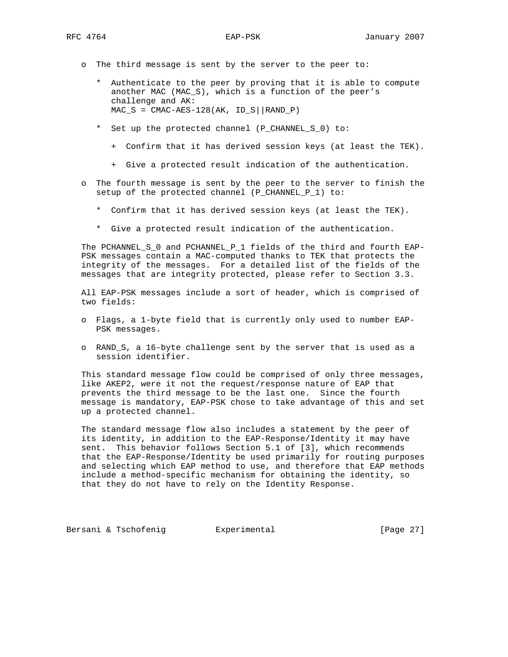- o The third message is sent by the server to the peer to:
	- \* Authenticate to the peer by proving that it is able to compute another MAC (MAC\_S), which is a function of the peer's challenge and AK:  $MAC_S = CMAC-AES-128(AK, ID_S||RAND_P)$
	- \* Set up the protected channel (P\_CHANNEL\_S\_0) to:
		- + Confirm that it has derived session keys (at least the TEK).
		- + Give a protected result indication of the authentication.
- o The fourth message is sent by the peer to the server to finish the setup of the protected channel (P\_CHANNEL\_P\_1) to:
	- \* Confirm that it has derived session keys (at least the TEK).
	- \* Give a protected result indication of the authentication.

 The PCHANNEL\_S\_0 and PCHANNEL\_P\_1 fields of the third and fourth EAP- PSK messages contain a MAC-computed thanks to TEK that protects the integrity of the messages. For a detailed list of the fields of the messages that are integrity protected, please refer to Section 3.3.

 All EAP-PSK messages include a sort of header, which is comprised of two fields:

- o Flags, a 1-byte field that is currently only used to number EAP- PSK messages.
- o RAND\_S, a 16-byte challenge sent by the server that is used as a session identifier.

 This standard message flow could be comprised of only three messages, like AKEP2, were it not the request/response nature of EAP that prevents the third message to be the last one. Since the fourth message is mandatory, EAP-PSK chose to take advantage of this and set up a protected channel.

 The standard message flow also includes a statement by the peer of its identity, in addition to the EAP-Response/Identity it may have sent. This behavior follows Section 5.1 of [3], which recommends that the EAP-Response/Identity be used primarily for routing purposes and selecting which EAP method to use, and therefore that EAP methods include a method-specific mechanism for obtaining the identity, so that they do not have to rely on the Identity Response.

Bersani & Tschofenig **Experimental Experimental** [Page 27]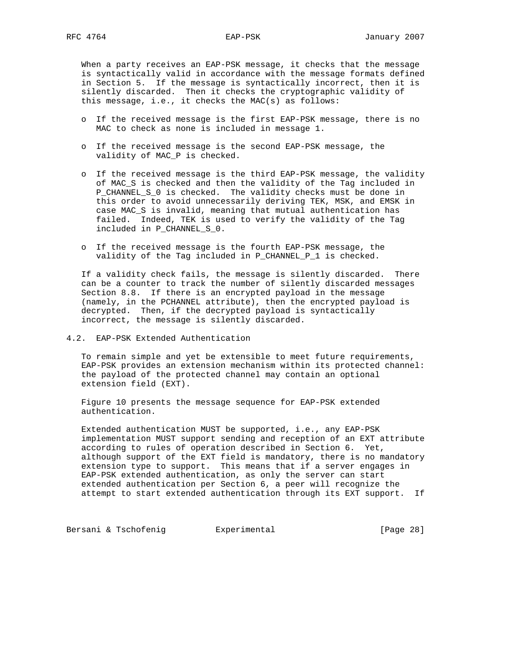When a party receives an EAP-PSK message, it checks that the message is syntactically valid in accordance with the message formats defined in Section 5. If the message is syntactically incorrect, then it is silently discarded. Then it checks the cryptographic validity of this message, i.e., it checks the MAC(s) as follows:

- o If the received message is the first EAP-PSK message, there is no MAC to check as none is included in message 1.
- o If the received message is the second EAP-PSK message, the validity of MAC\_P is checked.
- o If the received message is the third EAP-PSK message, the validity of MAC\_S is checked and then the validity of the Tag included in P\_CHANNEL\_S\_0 is checked. The validity checks must be done in this order to avoid unnecessarily deriving TEK, MSK, and EMSK in case MAC\_S is invalid, meaning that mutual authentication has failed. Indeed, TEK is used to verify the validity of the Tag included in P\_CHANNEL\_S\_0.
- o If the received message is the fourth EAP-PSK message, the validity of the Tag included in P\_CHANNEL\_P\_1 is checked.

 If a validity check fails, the message is silently discarded. There can be a counter to track the number of silently discarded messages Section 8.8. If there is an encrypted payload in the message (namely, in the PCHANNEL attribute), then the encrypted payload is decrypted. Then, if the decrypted payload is syntactically incorrect, the message is silently discarded.

4.2. EAP-PSK Extended Authentication

 To remain simple and yet be extensible to meet future requirements, EAP-PSK provides an extension mechanism within its protected channel: the payload of the protected channel may contain an optional extension field (EXT).

 Figure 10 presents the message sequence for EAP-PSK extended authentication.

 Extended authentication MUST be supported, i.e., any EAP-PSK implementation MUST support sending and reception of an EXT attribute according to rules of operation described in Section 6. Yet, although support of the EXT field is mandatory, there is no mandatory extension type to support. This means that if a server engages in EAP-PSK extended authentication, as only the server can start extended authentication per Section 6, a peer will recognize the attempt to start extended authentication through its EXT support. If

Bersani & Tschofenig **Experimental Experimental** [Page 28]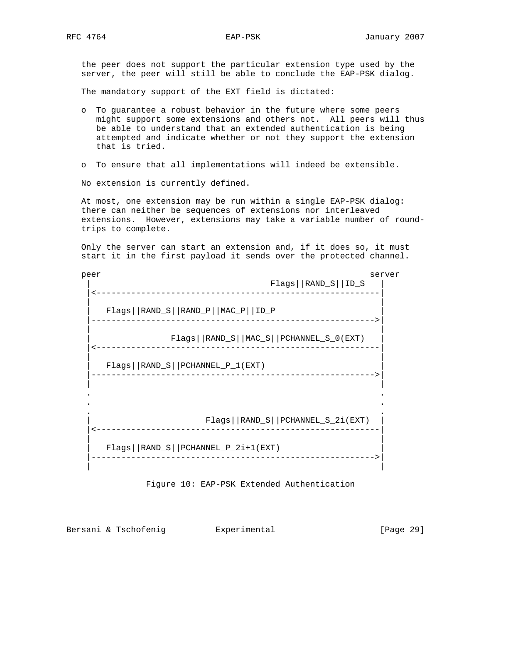the peer does not support the particular extension type used by the server, the peer will still be able to conclude the EAP-PSK dialog.

The mandatory support of the EXT field is dictated:

- o To guarantee a robust behavior in the future where some peers might support some extensions and others not. All peers will thus be able to understand that an extended authentication is being attempted and indicate whether or not they support the extension that is tried.
- o To ensure that all implementations will indeed be extensible.

No extension is currently defined.

 At most, one extension may be run within a single EAP-PSK dialog: there can neither be sequences of extensions nor interleaved extensions. However, extensions may take a variable number of round trips to complete.

 Only the server can start an extension and, if it does so, it must start it in the first payload it sends over the protected channel.

peer server server server server server server server server server server server server server server server | Flags||RAND\_S||ID\_S | |<---------------------------------------------------------| | | | Flags||RAND\_S||RAND\_P||MAC\_P||ID\_P | |--------------------------------------------------------->| | | | Flags||RAND\_S||MAC\_S||PCHANNEL\_S\_0(EXT) | |<---------------------------------------------------------| | | | Flags||RAND\_S||PCHANNEL\_P\_1(EXT) | |--------------------------------------------------------->| | | . . . . . . | Flags||RAND\_S||PCHANNEL\_S\_2i(EXT) | |<---------------------------------------------------------| | | | Flags||RAND\_S||PCHANNEL\_P\_2i+1(EXT) | |--------------------------------------------------------->| | |

Figure 10: EAP-PSK Extended Authentication

Bersani & Tschofenig  $\qquad \qquad$  Experimental  $\qquad \qquad$  [Page 29]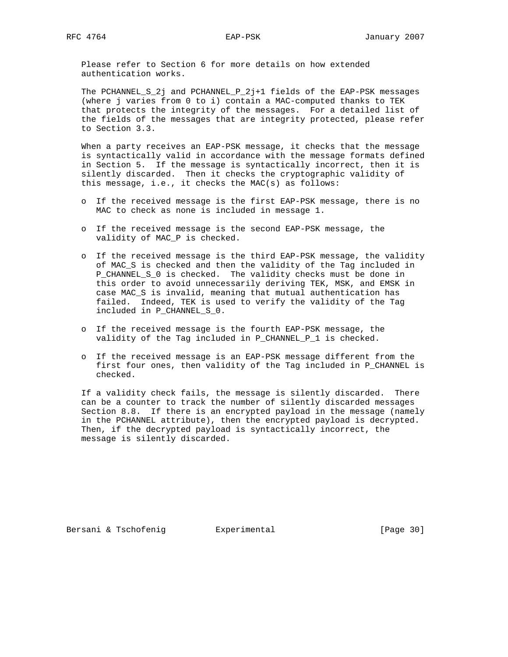Please refer to Section 6 for more details on how extended authentication works.

 The PCHANNEL\_S\_2j and PCHANNEL\_P\_2j+1 fields of the EAP-PSK messages (where j varies from 0 to i) contain a MAC-computed thanks to TEK that protects the integrity of the messages. For a detailed list of the fields of the messages that are integrity protected, please refer to Section 3.3.

 When a party receives an EAP-PSK message, it checks that the message is syntactically valid in accordance with the message formats defined in Section 5. If the message is syntactically incorrect, then it is silently discarded. Then it checks the cryptographic validity of this message, i.e., it checks the MAC(s) as follows:

- o If the received message is the first EAP-PSK message, there is no MAC to check as none is included in message 1.
- o If the received message is the second EAP-PSK message, the validity of MAC\_P is checked.
- o If the received message is the third EAP-PSK message, the validity of MAC\_S is checked and then the validity of the Tag included in P\_CHANNEL\_S\_0 is checked. The validity checks must be done in this order to avoid unnecessarily deriving TEK, MSK, and EMSK in case MAC\_S is invalid, meaning that mutual authentication has failed. Indeed, TEK is used to verify the validity of the Tag included in P\_CHANNEL\_S\_0.
- o If the received message is the fourth EAP-PSK message, the validity of the Tag included in P\_CHANNEL\_P\_1 is checked.
- o If the received message is an EAP-PSK message different from the first four ones, then validity of the Tag included in P\_CHANNEL is checked.

 If a validity check fails, the message is silently discarded. There can be a counter to track the number of silently discarded messages Section 8.8. If there is an encrypted payload in the message (namely in the PCHANNEL attribute), then the encrypted payload is decrypted. Then, if the decrypted payload is syntactically incorrect, the message is silently discarded.

Bersani & Tschofenig **Experimental Experimental** [Page 30]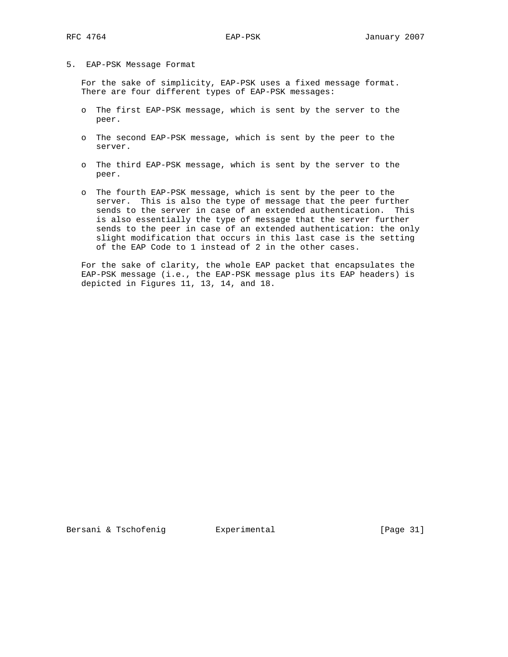#### 5. EAP-PSK Message Format

 For the sake of simplicity, EAP-PSK uses a fixed message format. There are four different types of EAP-PSK messages:

- o The first EAP-PSK message, which is sent by the server to the peer.
- o The second EAP-PSK message, which is sent by the peer to the server.
- o The third EAP-PSK message, which is sent by the server to the peer.
- o The fourth EAP-PSK message, which is sent by the peer to the server. This is also the type of message that the peer further sends to the server in case of an extended authentication. This is also essentially the type of message that the server further sends to the peer in case of an extended authentication: the only slight modification that occurs in this last case is the setting of the EAP Code to 1 instead of 2 in the other cases.

 For the sake of clarity, the whole EAP packet that encapsulates the EAP-PSK message (i.e., the EAP-PSK message plus its EAP headers) is depicted in Figures 11, 13, 14, and 18.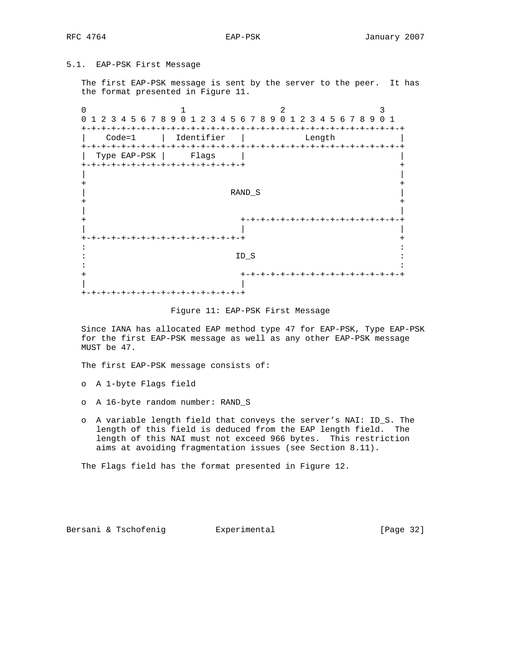# 5.1. EAP-PSK First Message

 The first EAP-PSK message is sent by the server to the peer. It has the format presented in Figure 11.

0  $1$   $2$   $3$  0 1 2 3 4 5 6 7 8 9 0 1 2 3 4 5 6 7 8 9 0 1 2 3 4 5 6 7 8 9 0 1 +-+-+-+-+-+-+-+-+-+-+-+-+-+-+-+-+-+-+-+-+-+-+-+-+-+-+-+-+-+-+-+-+ | Code=1 | Identifier | Length | +-+-+-+-+-+-+-+-+-+-+-+-+-+-+-+-+-+-+-+-+-+-+-+-+-+-+-+-+-+-+-+-+ Type EAP-PSK | Flags | +-+-+-+-+-+-+-+-+-+-+-+-+-+-+-+-+ + | | + + | RAND\_S | + + | | + +-+-+-+-+-+-+-+-+-+-+-+-+-+-+-+-+ | | | +-+-+-+-+-+-+-+-+-+-+-+-+-+-+-+-+ + in the contract of the contract of the contract of the contract of the contract of the contract of the contract  $\mathbb{I}_{\mathsf{D\_S}}$  : in the second control of the second control of the second control of the second control of the second control o + +-+-+-+-+-+-+-+-+-+-+-+-+-+-+-+-+ | | +-+-+-+-+-+-+-+-+-+-+-+-+-+-+-+-+

#### Figure 11: EAP-PSK First Message

 Since IANA has allocated EAP method type 47 for EAP-PSK, Type EAP-PSK for the first EAP-PSK message as well as any other EAP-PSK message MUST be 47.

The first EAP-PSK message consists of:

- o A 1-byte Flags field
- o A 16-byte random number: RAND\_S
- o A variable length field that conveys the server's NAI: ID\_S. The length of this field is deduced from the EAP length field. The length of this NAI must not exceed 966 bytes. This restriction aims at avoiding fragmentation issues (see Section 8.11).

The Flags field has the format presented in Figure 12.

Bersani & Tschofenig **Experimental Experimental** [Page 32]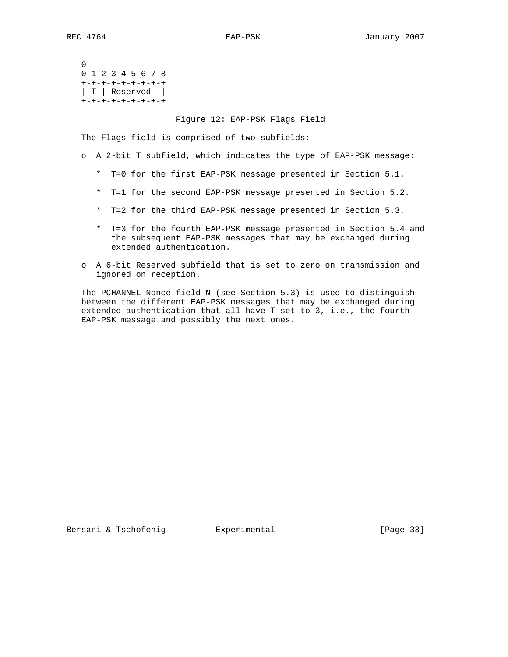0 0 1 2 3 4 5 6 7 8 +-+-+-+-+-+-+-+-+ | T | Reserved | +-+-+-+-+-+-+-+-+

#### Figure 12: EAP-PSK Flags Field

The Flags field is comprised of two subfields:

- o A 2-bit T subfield, which indicates the type of EAP-PSK message:
	- \* T=0 for the first EAP-PSK message presented in Section 5.1.
	- \* T=1 for the second EAP-PSK message presented in Section 5.2.
	- \* T=2 for the third EAP-PSK message presented in Section 5.3.
	- \* T=3 for the fourth EAP-PSK message presented in Section 5.4 and the subsequent EAP-PSK messages that may be exchanged during extended authentication.
- o A 6-bit Reserved subfield that is set to zero on transmission and ignored on reception.

 The PCHANNEL Nonce field N (see Section 5.3) is used to distinguish between the different EAP-PSK messages that may be exchanged during extended authentication that all have T set to 3, i.e., the fourth EAP-PSK message and possibly the next ones.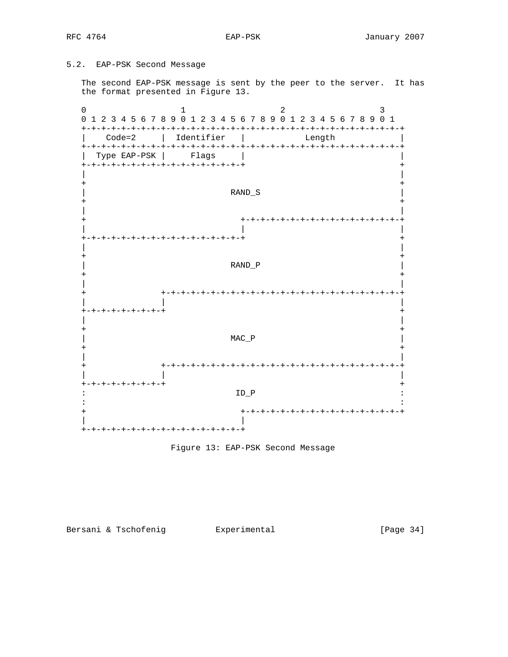# 5.2. EAP-PSK Second Message

 The second EAP-PSK message is sent by the peer to the server. It has the format presented in Figure 13.

0  $1$   $2$   $3$  0 1 2 3 4 5 6 7 8 9 0 1 2 3 4 5 6 7 8 9 0 1 2 3 4 5 6 7 8 9 0 1 +-+-+-+-+-+-+-+-+-+-+-+-+-+-+-+-+-+-+-+-+-+-+-+-+-+-+-+-+-+-+-+-+ | Code=2 | Identifier | Length | +-+-+-+-+-+-+-+-+-+-+-+-+-+-+-+-+-+-+-+-+-+-+-+-+-+-+-+-+-+-+-+-+ | Type EAP-PSK | Flags | | +-+-+-+-+-+-+-+-+-+-+-+-+-+-+-+-+ + | | + + | RAND\_S | + + | | + +-+-+-+-+-+-+-+-+-+-+-+-+-+-+-+-+ | | | +-+-+-+-+-+-+-+-+-+-+-+-+-+-+-+-+ + | | + + | RAND\_P | + + | | + +-+-+-+-+-+-+-+-+-+-+-+-+-+-+-+-+-+-+-+-+-+-+-+-+ | | | +-+-+-+-+-+-+-+-+ + | | + +  $MAC_P$  + + | | + +-+-+-+-+-+-+-+-+-+-+-+-+-+-+-+-+-+-+-+-+-+-+-+-+ | | | +-+-+-+-+-+-+-+-+ +  $\texttt{ID\_P}$  : in the contract of the contract of the contract of the contract of the contract of the contract of the contract + +-+-+-+-+-+-+-+-+-+-+-+-+-+-+-+-+ | | +-+-+-+-+-+-+-+-+-+-+-+-+-+-+-+-+

# Figure 13: EAP-PSK Second Message

# Bersani & Tschofenig **Experimental** [Page 34]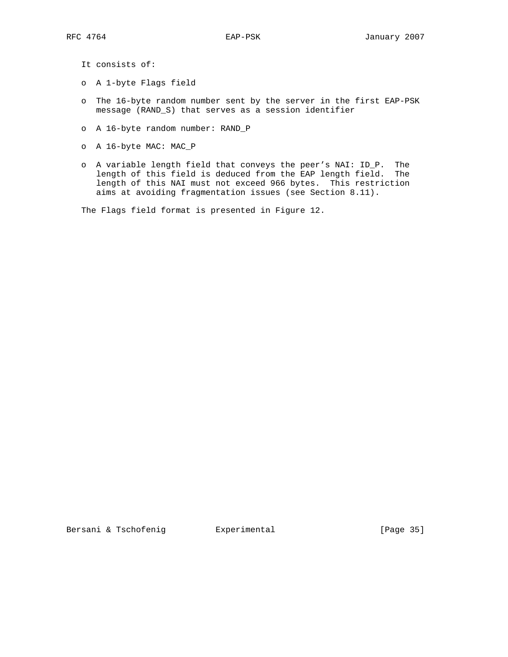It consists of:

- o A 1-byte Flags field
- o The 16-byte random number sent by the server in the first EAP-PSK message (RAND\_S) that serves as a session identifier
- o A 16-byte random number: RAND\_P
- o A 16-byte MAC: MAC\_P
- o A variable length field that conveys the peer's NAI: ID\_P. The length of this field is deduced from the EAP length field. The length of this NAI must not exceed 966 bytes. This restriction aims at avoiding fragmentation issues (see Section 8.11).

The Flags field format is presented in Figure 12.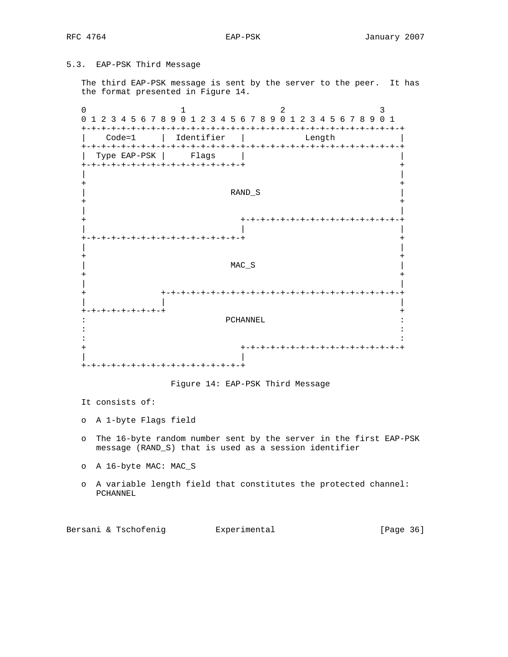# 5.3. EAP-PSK Third Message

 The third EAP-PSK message is sent by the server to the peer. It has the format presented in Figure 14.

0  $1$   $2$   $3$  0 1 2 3 4 5 6 7 8 9 0 1 2 3 4 5 6 7 8 9 0 1 2 3 4 5 6 7 8 9 0 1 +-+-+-+-+-+-+-+-+-+-+-+-+-+-+-+-+-+-+-+-+-+-+-+-+-+-+-+-+-+-+-+-+ | Code=1 | Identifier | Length | +-+-+-+-+-+-+-+-+-+-+-+-+-+-+-+-+-+-+-+-+-+-+-+-+-+-+-+-+-+-+-+-+ | Type EAP-PSK | Flags | | +-+-+-+-+-+-+-+-+-+-+-+-+-+-+-+-+ + | | + + | RAND\_S | + + | | + +-+-+-+-+-+-+-+-+-+-+-+-+-+-+-+-+ | | | +-+-+-+-+-+-+-+-+-+-+-+-+-+-+-+-+ + | | + + | MAC\_S | MAC\_S | SOLUTION OF PROPERTY ASSESSED ASSESSED AT A LOCAL CONTRACT OF PROPERTY ASSESSED AT A LOCAL CONTRACT OF PROPERTY ASSESSED AT A LOCAL CONTRACT OF PROPERTY AND A LOCAL CONTRACT OF PROPERTY AND A LOCAL CONTRA + + | | + +-+-+-+-+-+-+-+-+-+-+-+-+-+-+-+-+-+-+-+-+-+-+-+-+ | | | +-+-+-+-+-+-+-+-+ + : PCHANNEL : in the second control of the second control of the second control of the second control of the second control o in the contract of the contract of the contract of the contract of the contract of the contract of the contract + +-+-+-+-+-+-+-+-+-+-+-+-+-+-+-+-+ | | +-+-+-+-+-+-+-+-+-+-+-+-+-+-+-+-+

# Figure 14: EAP-PSK Third Message

It consists of:

o A 1-byte Flags field

- o The 16-byte random number sent by the server in the first EAP-PSK message (RAND\_S) that is used as a session identifier
- o A 16-byte MAC: MAC\_S
- o A variable length field that constitutes the protected channel: PCHANNEL

Bersani & Tschofenig **Experimental** [Page 36]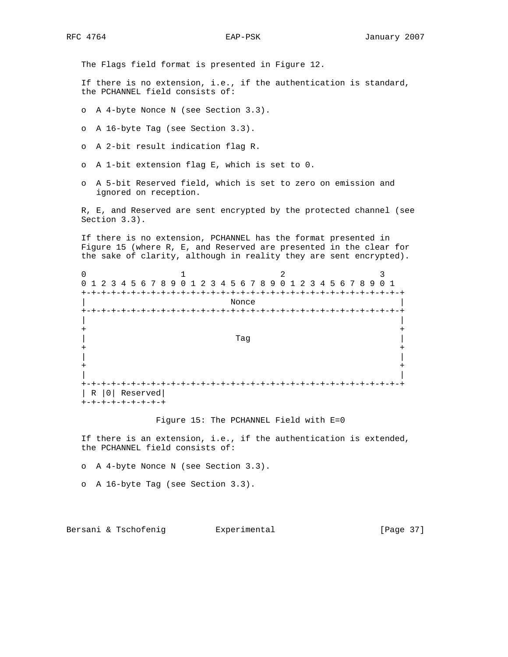The Flags field format is presented in Figure 12.

 If there is no extension, i.e., if the authentication is standard, the PCHANNEL field consists of:

o A 4-byte Nonce N (see Section 3.3).

- o A 16-byte Tag (see Section 3.3).
- o A 2-bit result indication flag R.
- o A 1-bit extension flag E, which is set to 0.
- o A 5-bit Reserved field, which is set to zero on emission and ignored on reception.

 R, E, and Reserved are sent encrypted by the protected channel (see Section 3.3).

 If there is no extension, PCHANNEL has the format presented in Figure 15 (where R, E, and Reserved are presented in the clear for the sake of clarity, although in reality they are sent encrypted).

|                   | 0 1 2 3 4 5 6 7 8 9 0 1 2 3 4 5 6 7 8 9 0 1 2 3 4 5 6 7 8 9 0 1 |       |                                     |
|-------------------|-----------------------------------------------------------------|-------|-------------------------------------|
| +-+-+-+-+-+-+     | +-+-+-+-+-+-+                                                   |       | -+-+-+-+-+-+-+-+-+-+-+-+-+-+<br>- + |
|                   |                                                                 | Nonce |                                     |
|                   |                                                                 |       | $-+$                                |
|                   |                                                                 |       |                                     |
|                   |                                                                 |       |                                     |
|                   |                                                                 | Taq   |                                     |
|                   |                                                                 |       |                                     |
|                   |                                                                 |       |                                     |
|                   |                                                                 |       |                                     |
|                   |                                                                 |       |                                     |
|                   |                                                                 |       |                                     |
| $+ \cdot$         |                                                                 |       |                                     |
| R   0   Reserved  |                                                                 |       |                                     |
| +-+-+-+-+-+-+-+-+ |                                                                 |       |                                     |

#### Figure 15: The PCHANNEL Field with E=0

 If there is an extension, i.e., if the authentication is extended, the PCHANNEL field consists of:

o A 4-byte Nonce N (see Section 3.3).

o A 16-byte Tag (see Section 3.3).

Bersani & Tschofenig **Experimental** [Page 37]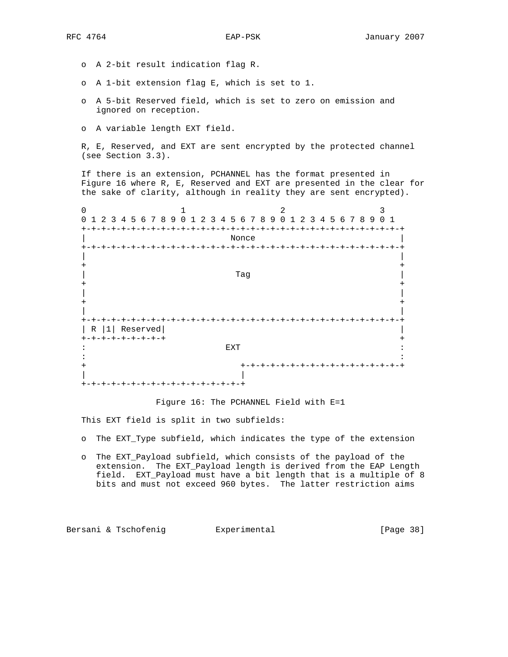- o A 2-bit result indication flag R.
- o A 1-bit extension flag E, which is set to 1.
- o A 5-bit Reserved field, which is set to zero on emission and ignored on reception.
- o A variable length EXT field.

 R, E, Reserved, and EXT are sent encrypted by the protected channel (see Section 3.3).

 If there is an extension, PCHANNEL has the format presented in Figure 16 where R, E, Reserved and EXT are presented in the clear for the sake of clarity, although in reality they are sent encrypted).

0  $1$  2 3 0 1 2 3 4 5 6 7 8 9 0 1 2 3 4 5 6 7 8 9 0 1 2 3 4 5 6 7 8 9 0 1 +-+-+-+-+-+-+-+-+-+-+-+-+-+-+-+-+-+-+-+-+-+-+-+-+-+-+-+-+-+-+-+-+ | Nonce | +-+-+-+-+-+-+-+-+-+-+-+-+-+-+-+-+-+-+-+-+-+-+-+-+-+-+-+-+-+-+-+-+ | | + + | Tag | + + | | + + | | +-+-+-+-+-+-+-+-+-+-+-+-+-+-+-+-+-+-+-+-+-+-+-+-+-+-+-+-+-+-+-+-+ | R |1| Reserved| | +-+-+-+-+-+-+-+-+ +  $\blacksquare$ : EXT  $\blacksquare$ in the second control of the second control of the second control of the second control of the second control o + +-+-+-+-+-+-+-+-+-+-+-+-+-+-+-+-+ | | +-+-+-+-+-+-+-+-+-+-+-+-+-+-+-+-+

Figure 16: The PCHANNEL Field with E=1

This EXT field is split in two subfields:

- o The EXT\_Type subfield, which indicates the type of the extension
- o The EXT\_Payload subfield, which consists of the payload of the extension. The EXT\_Payload length is derived from the EAP Length field. EXT\_Payload must have a bit length that is a multiple of 8 bits and must not exceed 960 bytes. The latter restriction aims

Bersani & Tschofenig  $\qquad \qquad$  Experimental [Page 38]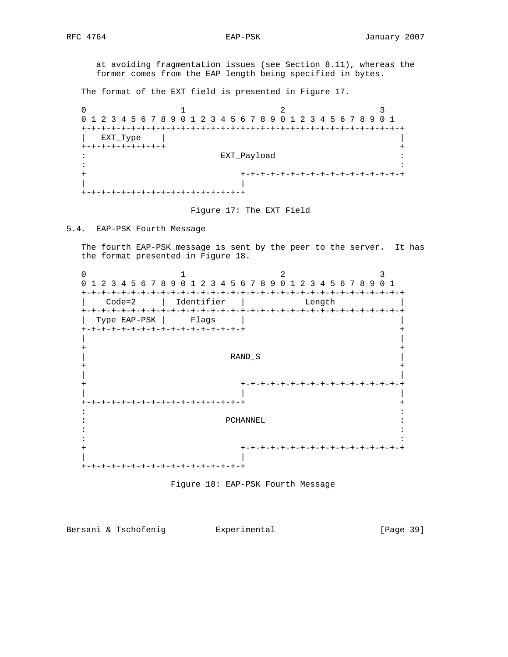at avoiding fragmentation issues (see Section 8.11), whereas the former comes from the EAP length being specified in bytes.

The format of the EXT field is presented in Figure 17.

0  $1$  2 3 0 1 2 3 4 5 6 7 8 9 0 1 2 3 4 5 6 7 8 9 0 1 2 3 4 5 6 7 8 9 0 1 +-+-+-+-+-+-+-+-+-+-+-+-+-+-+-+-+-+-+-+-+-+-+-+-+-+-+-+-+-+-+-+-+ | EXT\_Type | | +-+-+-+-+-+-+-+-+ + : EXT\_Payload : in the second control of the second control of the second control of the second control of the second control o + +-+-+-+-+-+-+-+-+-+-+-+-+-+-+-+-+ | | +-+-+-+-+-+-+-+-+-+-+-+-+-+-+-+-+

Figure 17: The EXT Field

5.4. EAP-PSK Fourth Message

 The fourth EAP-PSK message is sent by the peer to the server. It has the format presented in Figure 18.

0  $1$  2 3 0 1 2 3 4 5 6 7 8 9 0 1 2 3 4 5 6 7 8 9 0 1 2 3 4 5 6 7 8 9 0 1 +-+-+-+-+-+-+-+-+-+-+-+-+-+-+-+-+-+-+-+-+-+-+-+-+-+-+-+-+-+-+-+-+ | Code=2 | Identifier | Length | +-+-+-+-+-+-+-+-+-+-+-+-+-+-+-+-+-+-+-+-+-+-+-+-+-+-+-+-+-+-+-+-+ Type EAP-PSK | Flags +-+-+-+-+-+-+-+-+-+-+-+-+-+-+-+-+ + | | + + | RAND\_S | + + | | + +-+-+-+-+-+-+-+-+-+-+-+-+-+-+-+-+ | | | +-+-+-+-+-+-+-+-+-+-+-+-+-+-+-+-+ + in the second control of the second control of the second control of the second control of the second control o : PCHANNEL : in the contract of the contract of the contract of the contract of the contract of the contract of the contract in the second control of the second control of the second control of the second control of the second control o + +-+-+-+-+-+-+-+-+-+-+-+-+-+-+-+-+ | | +-+-+-+-+-+-+-+-+-+-+-+-+-+-+-+-+



Bersani & Tschofenig  $\qquad \qquad$  Experimental [Page 39]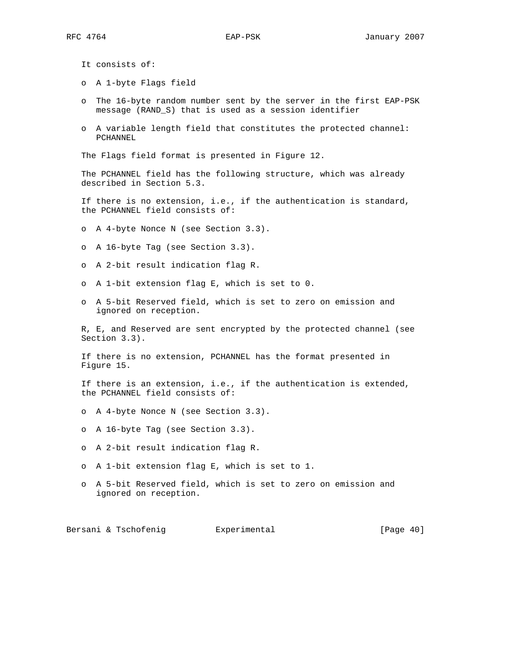It consists of:

- o A 1-byte Flags field
- o The 16-byte random number sent by the server in the first EAP-PSK message (RAND\_S) that is used as a session identifier
- o A variable length field that constitutes the protected channel: PCHANNEL

The Flags field format is presented in Figure 12.

 The PCHANNEL field has the following structure, which was already described in Section 5.3.

 If there is no extension, i.e., if the authentication is standard, the PCHANNEL field consists of:

o A 4-byte Nonce N (see Section 3.3).

- o A 16-byte Tag (see Section 3.3).
- o A 2-bit result indication flag R.
- o A 1-bit extension flag E, which is set to 0.
- o A 5-bit Reserved field, which is set to zero on emission and ignored on reception.

 R, E, and Reserved are sent encrypted by the protected channel (see Section 3.3).

 If there is no extension, PCHANNEL has the format presented in Figure 15.

 If there is an extension, i.e., if the authentication is extended, the PCHANNEL field consists of:

o A 4-byte Nonce N (see Section 3.3).

o A 16-byte Tag (see Section 3.3).

- o A 2-bit result indication flag R.
- o A 1-bit extension flag E, which is set to 1.
- o A 5-bit Reserved field, which is set to zero on emission and ignored on reception.

Bersani & Tschofenig **Experimental Experimental** [Page 40]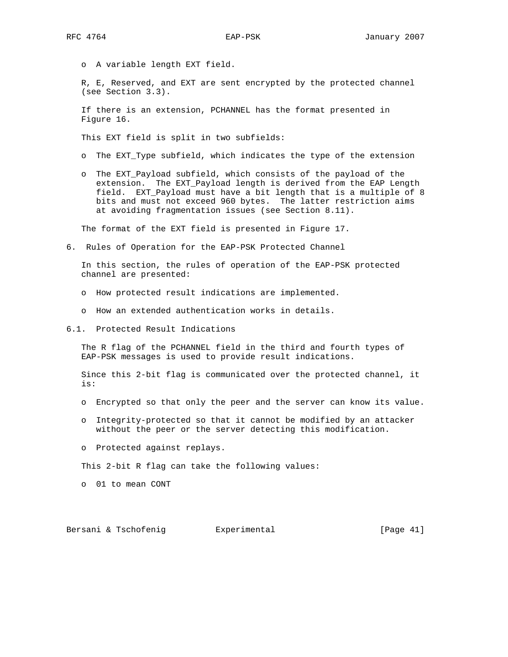o A variable length EXT field.

 R, E, Reserved, and EXT are sent encrypted by the protected channel (see Section 3.3).

 If there is an extension, PCHANNEL has the format presented in Figure 16.

This EXT field is split in two subfields:

- o The EXT\_Type subfield, which indicates the type of the extension
- o The EXT\_Payload subfield, which consists of the payload of the extension. The EXT\_Payload length is derived from the EAP Length field. EXT\_Payload must have a bit length that is a multiple of 8 bits and must not exceed 960 bytes. The latter restriction aims at avoiding fragmentation issues (see Section 8.11).

The format of the EXT field is presented in Figure 17.

6. Rules of Operation for the EAP-PSK Protected Channel

 In this section, the rules of operation of the EAP-PSK protected channel are presented:

- o How protected result indications are implemented.
- o How an extended authentication works in details.
- 6.1. Protected Result Indications

 The R flag of the PCHANNEL field in the third and fourth types of EAP-PSK messages is used to provide result indications.

 Since this 2-bit flag is communicated over the protected channel, it is:

- o Encrypted so that only the peer and the server can know its value.
- o Integrity-protected so that it cannot be modified by an attacker without the peer or the server detecting this modification.
- o Protected against replays.

This 2-bit R flag can take the following values:

o 01 to mean CONT

Bersani & Tschofenig  $\qquad \qquad$  Experimental [Page 41]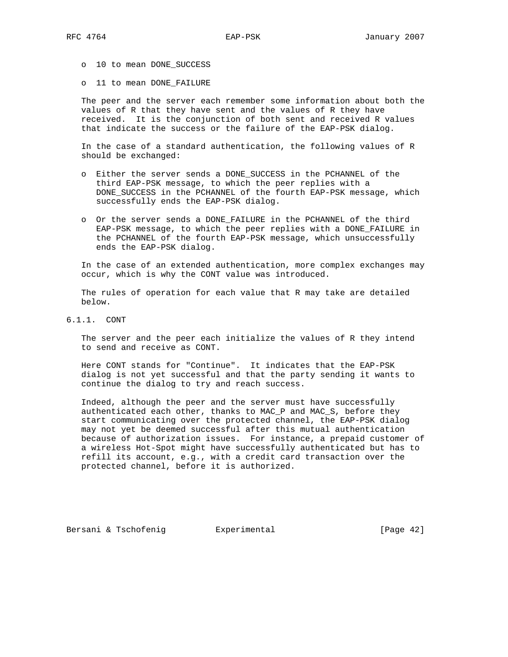- o 10 to mean DONE\_SUCCESS
- o 11 to mean DONE\_FAILURE

 The peer and the server each remember some information about both the values of R that they have sent and the values of R they have received. It is the conjunction of both sent and received R values that indicate the success or the failure of the EAP-PSK dialog.

 In the case of a standard authentication, the following values of R should be exchanged:

- o Either the server sends a DONE\_SUCCESS in the PCHANNEL of the third EAP-PSK message, to which the peer replies with a DONE\_SUCCESS in the PCHANNEL of the fourth EAP-PSK message, which successfully ends the EAP-PSK dialog.
- o Or the server sends a DONE\_FAILURE in the PCHANNEL of the third EAP-PSK message, to which the peer replies with a DONE\_FAILURE in the PCHANNEL of the fourth EAP-PSK message, which unsuccessfully ends the EAP-PSK dialog.

 In the case of an extended authentication, more complex exchanges may occur, which is why the CONT value was introduced.

 The rules of operation for each value that R may take are detailed below.

6.1.1. CONT

 The server and the peer each initialize the values of R they intend to send and receive as CONT.

 Here CONT stands for "Continue". It indicates that the EAP-PSK dialog is not yet successful and that the party sending it wants to continue the dialog to try and reach success.

 Indeed, although the peer and the server must have successfully authenticated each other, thanks to MAC\_P and MAC\_S, before they start communicating over the protected channel, the EAP-PSK dialog may not yet be deemed successful after this mutual authentication because of authorization issues. For instance, a prepaid customer of a wireless Hot-Spot might have successfully authenticated but has to refill its account, e.g., with a credit card transaction over the protected channel, before it is authorized.

Bersani & Tschofenig  $\qquad \qquad$  Experimental [Page 42]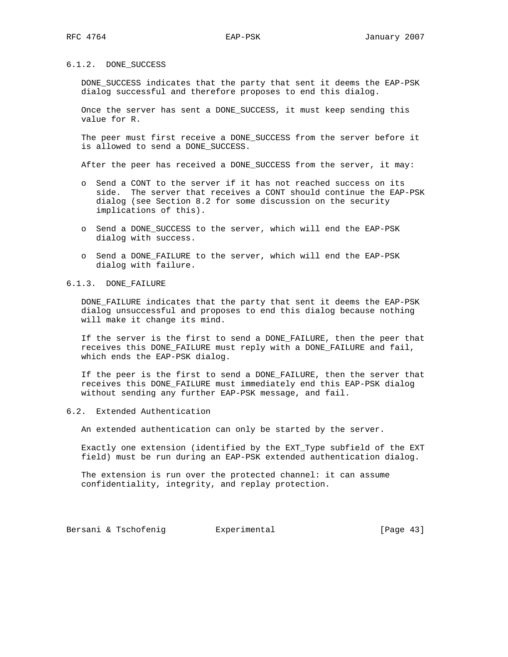## 6.1.2. DONE\_SUCCESS

 DONE\_SUCCESS indicates that the party that sent it deems the EAP-PSK dialog successful and therefore proposes to end this dialog.

 Once the server has sent a DONE\_SUCCESS, it must keep sending this value for R.

 The peer must first receive a DONE\_SUCCESS from the server before it is allowed to send a DONE\_SUCCESS.

After the peer has received a DONE\_SUCCESS from the server, it may:

- o Send a CONT to the server if it has not reached success on its side. The server that receives a CONT should continue the EAP-PSK dialog (see Section 8.2 for some discussion on the security implications of this).
- o Send a DONE\_SUCCESS to the server, which will end the EAP-PSK dialog with success.
- o Send a DONE\_FAILURE to the server, which will end the EAP-PSK dialog with failure.

6.1.3. DONE\_FAILURE

 DONE\_FAILURE indicates that the party that sent it deems the EAP-PSK dialog unsuccessful and proposes to end this dialog because nothing will make it change its mind.

 If the server is the first to send a DONE\_FAILURE, then the peer that receives this DONE\_FAILURE must reply with a DONE\_FAILURE and fail, which ends the EAP-PSK dialog.

 If the peer is the first to send a DONE\_FAILURE, then the server that receives this DONE\_FAILURE must immediately end this EAP-PSK dialog without sending any further EAP-PSK message, and fail.

6.2. Extended Authentication

An extended authentication can only be started by the server.

 Exactly one extension (identified by the EXT\_Type subfield of the EXT field) must be run during an EAP-PSK extended authentication dialog.

 The extension is run over the protected channel: it can assume confidentiality, integrity, and replay protection.

Bersani & Tschofenig **Experimental Experimental** [Page 43]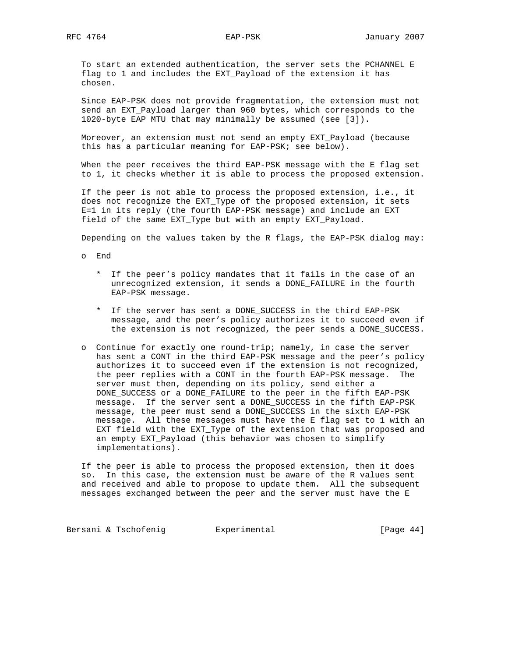To start an extended authentication, the server sets the PCHANNEL E flag to 1 and includes the EXT\_Payload of the extension it has chosen.

 Since EAP-PSK does not provide fragmentation, the extension must not send an EXT\_Payload larger than 960 bytes, which corresponds to the 1020-byte EAP MTU that may minimally be assumed (see [3]).

 Moreover, an extension must not send an empty EXT\_Payload (because this has a particular meaning for EAP-PSK; see below).

 When the peer receives the third EAP-PSK message with the E flag set to 1, it checks whether it is able to process the proposed extension.

 If the peer is not able to process the proposed extension, i.e., it does not recognize the EXT\_Type of the proposed extension, it sets E=1 in its reply (the fourth EAP-PSK message) and include an EXT field of the same EXT\_Type but with an empty EXT\_Payload.

Depending on the values taken by the R flags, the EAP-PSK dialog may:

o End

- \* If the peer's policy mandates that it fails in the case of an unrecognized extension, it sends a DONE\_FAILURE in the fourth EAP-PSK message.
- \* If the server has sent a DONE\_SUCCESS in the third EAP-PSK message, and the peer's policy authorizes it to succeed even if the extension is not recognized, the peer sends a DONE\_SUCCESS.
- o Continue for exactly one round-trip; namely, in case the server has sent a CONT in the third EAP-PSK message and the peer's policy authorizes it to succeed even if the extension is not recognized, the peer replies with a CONT in the fourth EAP-PSK message. The server must then, depending on its policy, send either a DONE\_SUCCESS or a DONE\_FAILURE to the peer in the fifth EAP-PSK message. If the server sent a DONE\_SUCCESS in the fifth EAP-PSK message, the peer must send a DONE\_SUCCESS in the sixth EAP-PSK message. All these messages must have the E flag set to 1 with an EXT field with the EXT\_Type of the extension that was proposed and an empty EXT\_Payload (this behavior was chosen to simplify implementations).

 If the peer is able to process the proposed extension, then it does so. In this case, the extension must be aware of the R values sent and received and able to propose to update them. All the subsequent messages exchanged between the peer and the server must have the E

Bersani & Tschofenig **Experimental Experimental** [Page 44]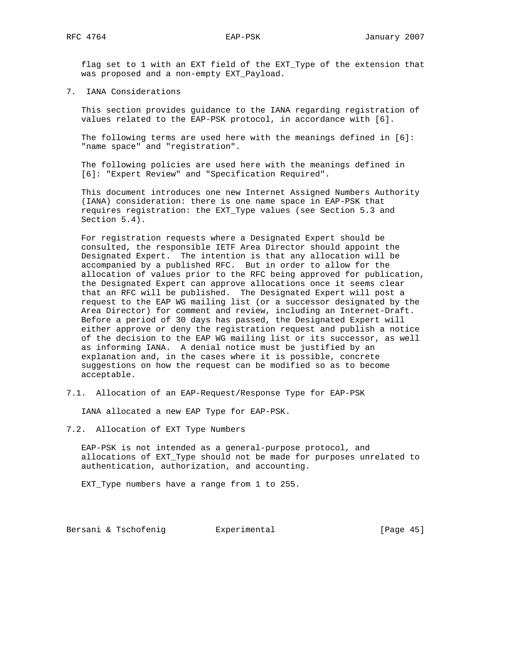flag set to 1 with an EXT field of the EXT\_Type of the extension that was proposed and a non-empty EXT\_Payload.

7. IANA Considerations

 This section provides guidance to the IANA regarding registration of values related to the EAP-PSK protocol, in accordance with [6].

 The following terms are used here with the meanings defined in [6]: "name space" and "registration".

 The following policies are used here with the meanings defined in [6]: "Expert Review" and "Specification Required".

 This document introduces one new Internet Assigned Numbers Authority (IANA) consideration: there is one name space in EAP-PSK that requires registration: the EXT\_Type values (see Section 5.3 and Section 5.4).

 For registration requests where a Designated Expert should be consulted, the responsible IETF Area Director should appoint the Designated Expert. The intention is that any allocation will be accompanied by a published RFC. But in order to allow for the allocation of values prior to the RFC being approved for publication, the Designated Expert can approve allocations once it seems clear that an RFC will be published. The Designated Expert will post a request to the EAP WG mailing list (or a successor designated by the Area Director) for comment and review, including an Internet-Draft. Before a period of 30 days has passed, the Designated Expert will either approve or deny the registration request and publish a notice of the decision to the EAP WG mailing list or its successor, as well as informing IANA. A denial notice must be justified by an explanation and, in the cases where it is possible, concrete suggestions on how the request can be modified so as to become acceptable.

7.1. Allocation of an EAP-Request/Response Type for EAP-PSK

IANA allocated a new EAP Type for EAP-PSK.

7.2. Allocation of EXT Type Numbers

 EAP-PSK is not intended as a general-purpose protocol, and allocations of EXT\_Type should not be made for purposes unrelated to authentication, authorization, and accounting.

EXT\_Type numbers have a range from 1 to 255.

Bersani & Tschofenig **Experimental Experimental** [Page 45]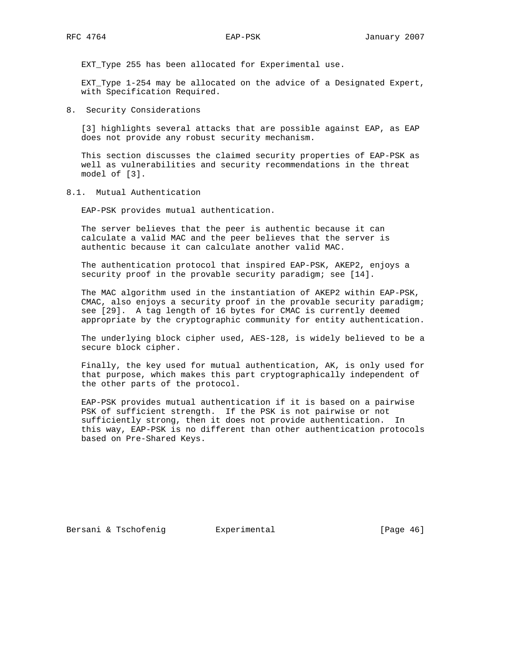EXT\_Type 255 has been allocated for Experimental use.

 EXT\_Type 1-254 may be allocated on the advice of a Designated Expert, with Specification Required.

8. Security Considerations

 [3] highlights several attacks that are possible against EAP, as EAP does not provide any robust security mechanism.

 This section discusses the claimed security properties of EAP-PSK as well as vulnerabilities and security recommendations in the threat model of [3].

8.1. Mutual Authentication

EAP-PSK provides mutual authentication.

 The server believes that the peer is authentic because it can calculate a valid MAC and the peer believes that the server is authentic because it can calculate another valid MAC.

 The authentication protocol that inspired EAP-PSK, AKEP2, enjoys a security proof in the provable security paradigm; see [14].

 The MAC algorithm used in the instantiation of AKEP2 within EAP-PSK, CMAC, also enjoys a security proof in the provable security paradigm; see [29]. A tag length of 16 bytes for CMAC is currently deemed appropriate by the cryptographic community for entity authentication.

 The underlying block cipher used, AES-128, is widely believed to be a secure block cipher.

 Finally, the key used for mutual authentication, AK, is only used for that purpose, which makes this part cryptographically independent of the other parts of the protocol.

 EAP-PSK provides mutual authentication if it is based on a pairwise PSK of sufficient strength. If the PSK is not pairwise or not sufficiently strong, then it does not provide authentication. In this way, EAP-PSK is no different than other authentication protocols based on Pre-Shared Keys.

Bersani & Tschofenig  $\qquad \qquad$  Experimental [Page 46]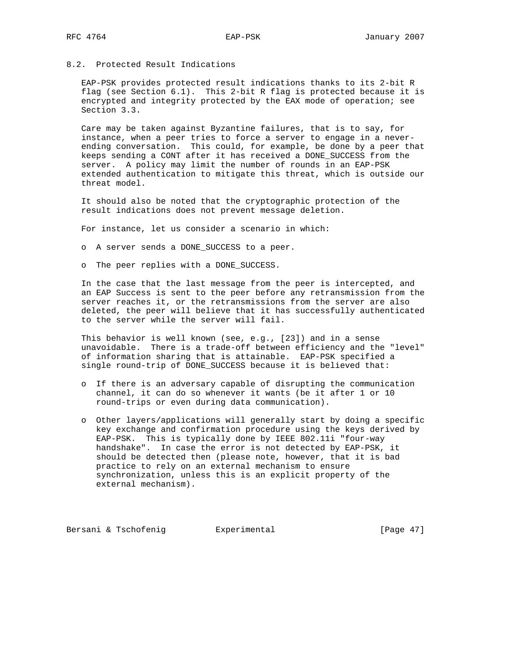# 8.2. Protected Result Indications

 EAP-PSK provides protected result indications thanks to its 2-bit R flag (see Section 6.1). This 2-bit R flag is protected because it is encrypted and integrity protected by the EAX mode of operation; see Section 3.3.

 Care may be taken against Byzantine failures, that is to say, for instance, when a peer tries to force a server to engage in a never ending conversation. This could, for example, be done by a peer that keeps sending a CONT after it has received a DONE\_SUCCESS from the server. A policy may limit the number of rounds in an EAP-PSK extended authentication to mitigate this threat, which is outside our threat model.

 It should also be noted that the cryptographic protection of the result indications does not prevent message deletion.

For instance, let us consider a scenario in which:

- o A server sends a DONE\_SUCCESS to a peer.
- o The peer replies with a DONE\_SUCCESS.

 In the case that the last message from the peer is intercepted, and an EAP Success is sent to the peer before any retransmission from the server reaches it, or the retransmissions from the server are also deleted, the peer will believe that it has successfully authenticated to the server while the server will fail.

 This behavior is well known (see, e.g., [23]) and in a sense unavoidable. There is a trade-off between efficiency and the "level" of information sharing that is attainable. EAP-PSK specified a single round-trip of DONE\_SUCCESS because it is believed that:

- o If there is an adversary capable of disrupting the communication channel, it can do so whenever it wants (be it after 1 or 10 round-trips or even during data communication).
- o Other layers/applications will generally start by doing a specific key exchange and confirmation procedure using the keys derived by EAP-PSK. This is typically done by IEEE 802.11i "four-way handshake". In case the error is not detected by EAP-PSK, it should be detected then (please note, however, that it is bad practice to rely on an external mechanism to ensure synchronization, unless this is an explicit property of the external mechanism).

Bersani & Tschofenig **Experimental** [Page 47]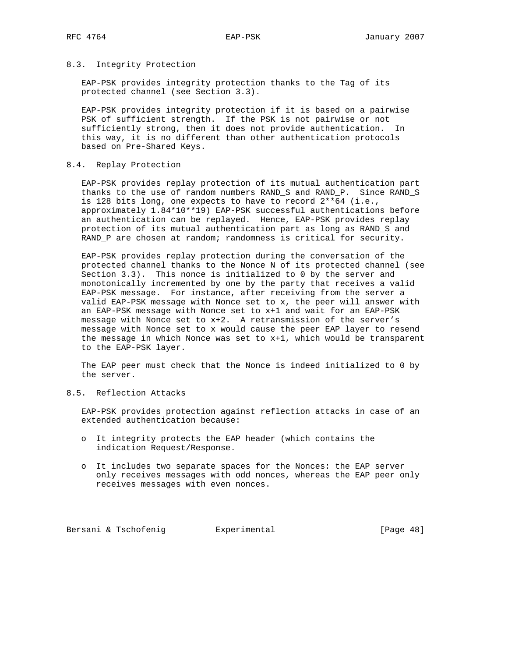### 8.3. Integrity Protection

 EAP-PSK provides integrity protection thanks to the Tag of its protected channel (see Section 3.3).

 EAP-PSK provides integrity protection if it is based on a pairwise PSK of sufficient strength. If the PSK is not pairwise or not sufficiently strong, then it does not provide authentication. In this way, it is no different than other authentication protocols based on Pre-Shared Keys.

## 8.4. Replay Protection

 EAP-PSK provides replay protection of its mutual authentication part thanks to the use of random numbers RAND\_S and RAND\_P. Since RAND\_S is 128 bits long, one expects to have to record 2\*\*64 (i.e., approximately 1.84\*10\*\*19) EAP-PSK successful authentications before an authentication can be replayed. Hence, EAP-PSK provides replay protection of its mutual authentication part as long as RAND\_S and RAND\_P are chosen at random; randomness is critical for security.

 EAP-PSK provides replay protection during the conversation of the protected channel thanks to the Nonce N of its protected channel (see Section 3.3). This nonce is initialized to 0 by the server and monotonically incremented by one by the party that receives a valid EAP-PSK message. For instance, after receiving from the server a valid EAP-PSK message with Nonce set to x, the peer will answer with an EAP-PSK message with Nonce set to x+1 and wait for an EAP-PSK message with Nonce set to x+2. A retransmission of the server's message with Nonce set to x would cause the peer EAP layer to resend the message in which Nonce was set to x+1, which would be transparent to the EAP-PSK layer.

 The EAP peer must check that the Nonce is indeed initialized to 0 by the server.

# 8.5. Reflection Attacks

 EAP-PSK provides protection against reflection attacks in case of an extended authentication because:

- o It integrity protects the EAP header (which contains the indication Request/Response.
- o It includes two separate spaces for the Nonces: the EAP server only receives messages with odd nonces, whereas the EAP peer only receives messages with even nonces.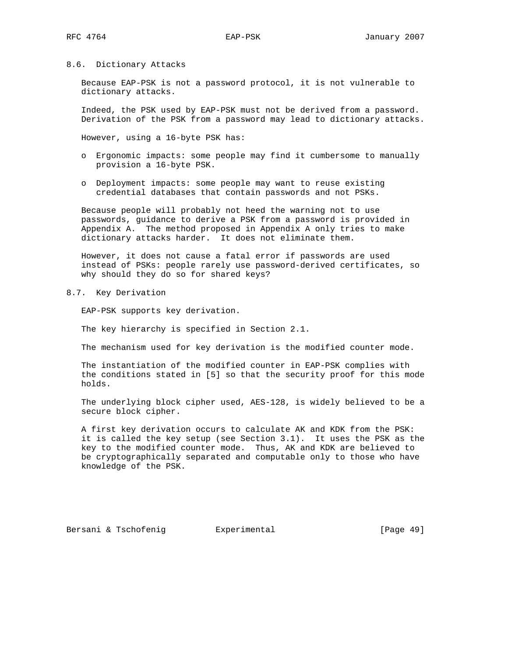#### 8.6. Dictionary Attacks

 Because EAP-PSK is not a password protocol, it is not vulnerable to dictionary attacks.

 Indeed, the PSK used by EAP-PSK must not be derived from a password. Derivation of the PSK from a password may lead to dictionary attacks.

However, using a 16-byte PSK has:

- o Ergonomic impacts: some people may find it cumbersome to manually provision a 16-byte PSK.
- o Deployment impacts: some people may want to reuse existing credential databases that contain passwords and not PSKs.

 Because people will probably not heed the warning not to use passwords, guidance to derive a PSK from a password is provided in Appendix A. The method proposed in Appendix A only tries to make dictionary attacks harder. It does not eliminate them.

 However, it does not cause a fatal error if passwords are used instead of PSKs: people rarely use password-derived certificates, so why should they do so for shared keys?

8.7. Key Derivation

EAP-PSK supports key derivation.

The key hierarchy is specified in Section 2.1.

The mechanism used for key derivation is the modified counter mode.

 The instantiation of the modified counter in EAP-PSK complies with the conditions stated in [5] so that the security proof for this mode holds.

 The underlying block cipher used, AES-128, is widely believed to be a secure block cipher.

 A first key derivation occurs to calculate AK and KDK from the PSK: it is called the key setup (see Section 3.1). It uses the PSK as the key to the modified counter mode. Thus, AK and KDK are believed to be cryptographically separated and computable only to those who have knowledge of the PSK.

Bersani & Tschofenig  $\qquad \qquad$  Experimental [Page 49]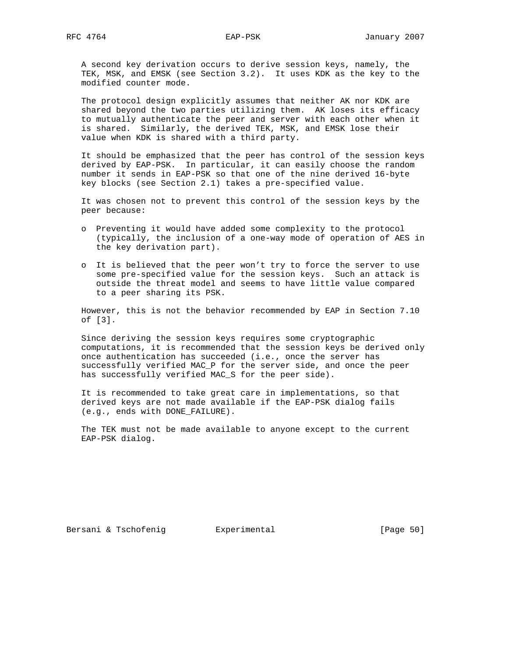A second key derivation occurs to derive session keys, namely, the TEK, MSK, and EMSK (see Section 3.2). It uses KDK as the key to the modified counter mode.

 The protocol design explicitly assumes that neither AK nor KDK are shared beyond the two parties utilizing them. AK loses its efficacy to mutually authenticate the peer and server with each other when it is shared. Similarly, the derived TEK, MSK, and EMSK lose their value when KDK is shared with a third party.

 It should be emphasized that the peer has control of the session keys derived by EAP-PSK. In particular, it can easily choose the random number it sends in EAP-PSK so that one of the nine derived 16-byte key blocks (see Section 2.1) takes a pre-specified value.

 It was chosen not to prevent this control of the session keys by the peer because:

- o Preventing it would have added some complexity to the protocol (typically, the inclusion of a one-way mode of operation of AES in the key derivation part).
- o It is believed that the peer won't try to force the server to use some pre-specified value for the session keys. Such an attack is outside the threat model and seems to have little value compared to a peer sharing its PSK.

 However, this is not the behavior recommended by EAP in Section 7.10 of [3].

 Since deriving the session keys requires some cryptographic computations, it is recommended that the session keys be derived only once authentication has succeeded (i.e., once the server has successfully verified MAC\_P for the server side, and once the peer has successfully verified MAC\_S for the peer side).

 It is recommended to take great care in implementations, so that derived keys are not made available if the EAP-PSK dialog fails (e.g., ends with DONE\_FAILURE).

 The TEK must not be made available to anyone except to the current EAP-PSK dialog.

Bersani & Tschofenig  $\qquad \qquad$  Experimental [Page 50]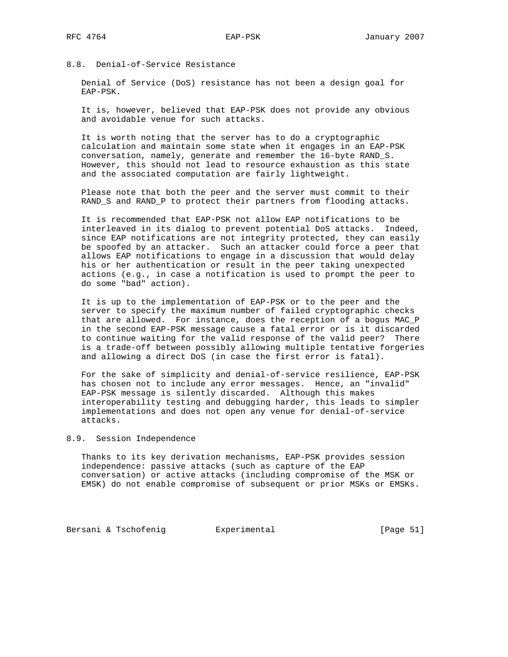# 8.8. Denial-of-Service Resistance

 Denial of Service (DoS) resistance has not been a design goal for EAP-PSK.

 It is, however, believed that EAP-PSK does not provide any obvious and avoidable venue for such attacks.

 It is worth noting that the server has to do a cryptographic calculation and maintain some state when it engages in an EAP-PSK conversation, namely, generate and remember the 16-byte RAND\_S. However, this should not lead to resource exhaustion as this state and the associated computation are fairly lightweight.

 Please note that both the peer and the server must commit to their RAND\_S and RAND\_P to protect their partners from flooding attacks.

 It is recommended that EAP-PSK not allow EAP notifications to be interleaved in its dialog to prevent potential DoS attacks. Indeed, since EAP notifications are not integrity protected, they can easily be spoofed by an attacker. Such an attacker could force a peer that allows EAP notifications to engage in a discussion that would delay his or her authentication or result in the peer taking unexpected actions (e.g., in case a notification is used to prompt the peer to do some "bad" action).

 It is up to the implementation of EAP-PSK or to the peer and the server to specify the maximum number of failed cryptographic checks that are allowed. For instance, does the reception of a bogus MAC\_P in the second EAP-PSK message cause a fatal error or is it discarded to continue waiting for the valid response of the valid peer? There is a trade-off between possibly allowing multiple tentative forgeries and allowing a direct DoS (in case the first error is fatal).

 For the sake of simplicity and denial-of-service resilience, EAP-PSK has chosen not to include any error messages. Hence, an "invalid" EAP-PSK message is silently discarded. Although this makes interoperability testing and debugging harder, this leads to simpler implementations and does not open any venue for denial-of-service attacks.

## 8.9. Session Independence

 Thanks to its key derivation mechanisms, EAP-PSK provides session independence: passive attacks (such as capture of the EAP conversation) or active attacks (including compromise of the MSK or EMSK) do not enable compromise of subsequent or prior MSKs or EMSKs.

Bersani & Tschofenig **Experimental Experimental** [Page 51]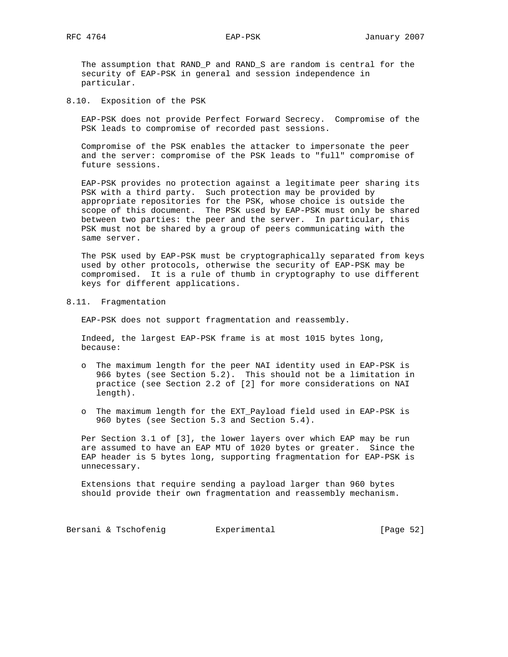The assumption that RAND\_P and RAND\_S are random is central for the security of EAP-PSK in general and session independence in particular.

8.10. Exposition of the PSK

 EAP-PSK does not provide Perfect Forward Secrecy. Compromise of the PSK leads to compromise of recorded past sessions.

 Compromise of the PSK enables the attacker to impersonate the peer and the server: compromise of the PSK leads to "full" compromise of future sessions.

 EAP-PSK provides no protection against a legitimate peer sharing its PSK with a third party. Such protection may be provided by appropriate repositories for the PSK, whose choice is outside the scope of this document. The PSK used by EAP-PSK must only be shared between two parties: the peer and the server. In particular, this PSK must not be shared by a group of peers communicating with the same server.

 The PSK used by EAP-PSK must be cryptographically separated from keys used by other protocols, otherwise the security of EAP-PSK may be compromised. It is a rule of thumb in cryptography to use different keys for different applications.

8.11. Fragmentation

EAP-PSK does not support fragmentation and reassembly.

 Indeed, the largest EAP-PSK frame is at most 1015 bytes long, because:

- o The maximum length for the peer NAI identity used in EAP-PSK is 966 bytes (see Section 5.2). This should not be a limitation in practice (see Section 2.2 of [2] for more considerations on NAI length).
- o The maximum length for the EXT\_Payload field used in EAP-PSK is 960 bytes (see Section 5.3 and Section 5.4).

 Per Section 3.1 of [3], the lower layers over which EAP may be run are assumed to have an EAP MTU of 1020 bytes or greater. Since the EAP header is 5 bytes long, supporting fragmentation for EAP-PSK is unnecessary.

 Extensions that require sending a payload larger than 960 bytes should provide their own fragmentation and reassembly mechanism.

Bersani & Tschofenig **Experimental Experimental** [Page 52]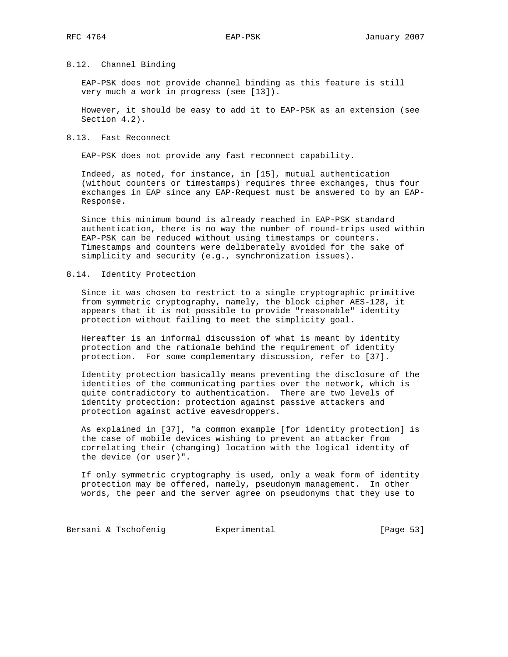#### 8.12. Channel Binding

 EAP-PSK does not provide channel binding as this feature is still very much a work in progress (see [13]).

 However, it should be easy to add it to EAP-PSK as an extension (see Section 4.2).

## 8.13. Fast Reconnect

EAP-PSK does not provide any fast reconnect capability.

 Indeed, as noted, for instance, in [15], mutual authentication (without counters or timestamps) requires three exchanges, thus four exchanges in EAP since any EAP-Request must be answered to by an EAP- Response.

 Since this minimum bound is already reached in EAP-PSK standard authentication, there is no way the number of round-trips used within EAP-PSK can be reduced without using timestamps or counters. Timestamps and counters were deliberately avoided for the sake of simplicity and security (e.g., synchronization issues).

## 8.14. Identity Protection

 Since it was chosen to restrict to a single cryptographic primitive from symmetric cryptography, namely, the block cipher AES-128, it appears that it is not possible to provide "reasonable" identity protection without failing to meet the simplicity goal.

 Hereafter is an informal discussion of what is meant by identity protection and the rationale behind the requirement of identity protection. For some complementary discussion, refer to [37].

 Identity protection basically means preventing the disclosure of the identities of the communicating parties over the network, which is quite contradictory to authentication. There are two levels of identity protection: protection against passive attackers and protection against active eavesdroppers.

 As explained in [37], "a common example [for identity protection] is the case of mobile devices wishing to prevent an attacker from correlating their (changing) location with the logical identity of the device (or user)".

 If only symmetric cryptography is used, only a weak form of identity protection may be offered, namely, pseudonym management. In other words, the peer and the server agree on pseudonyms that they use to

Bersani & Tschofenig **Experimental Experimental** [Page 53]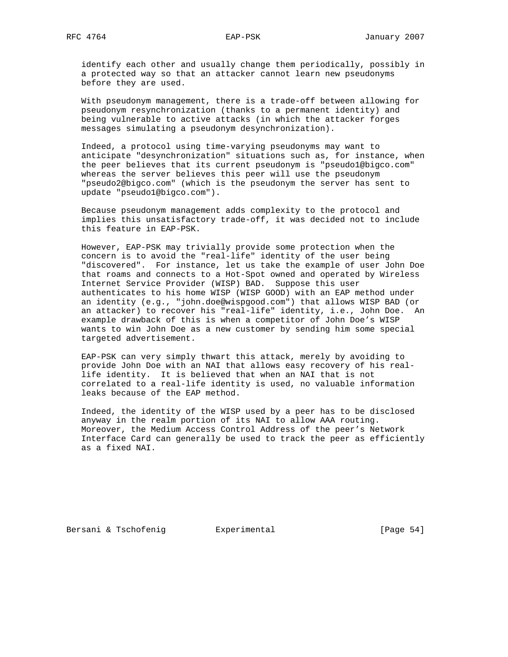identify each other and usually change them periodically, possibly in a protected way so that an attacker cannot learn new pseudonyms before they are used.

 With pseudonym management, there is a trade-off between allowing for pseudonym resynchronization (thanks to a permanent identity) and being vulnerable to active attacks (in which the attacker forges messages simulating a pseudonym desynchronization).

 Indeed, a protocol using time-varying pseudonyms may want to anticipate "desynchronization" situations such as, for instance, when the peer believes that its current pseudonym is "pseudo1@bigco.com" whereas the server believes this peer will use the pseudonym "pseudo2@bigco.com" (which is the pseudonym the server has sent to update "pseudo1@bigco.com").

 Because pseudonym management adds complexity to the protocol and implies this unsatisfactory trade-off, it was decided not to include this feature in EAP-PSK.

 However, EAP-PSK may trivially provide some protection when the concern is to avoid the "real-life" identity of the user being "discovered". For instance, let us take the example of user John Doe that roams and connects to a Hot-Spot owned and operated by Wireless Internet Service Provider (WISP) BAD. Suppose this user authenticates to his home WISP (WISP GOOD) with an EAP method under an identity (e.g., "john.doe@wispgood.com") that allows WISP BAD (or an attacker) to recover his "real-life" identity, i.e., John Doe. An example drawback of this is when a competitor of John Doe's WISP wants to win John Doe as a new customer by sending him some special targeted advertisement.

 EAP-PSK can very simply thwart this attack, merely by avoiding to provide John Doe with an NAI that allows easy recovery of his real life identity. It is believed that when an NAI that is not correlated to a real-life identity is used, no valuable information leaks because of the EAP method.

 Indeed, the identity of the WISP used by a peer has to be disclosed anyway in the realm portion of its NAI to allow AAA routing. Moreover, the Medium Access Control Address of the peer's Network Interface Card can generally be used to track the peer as efficiently as a fixed NAI.

Bersani & Tschofenig  $\qquad \qquad$  Experimental [Page 54]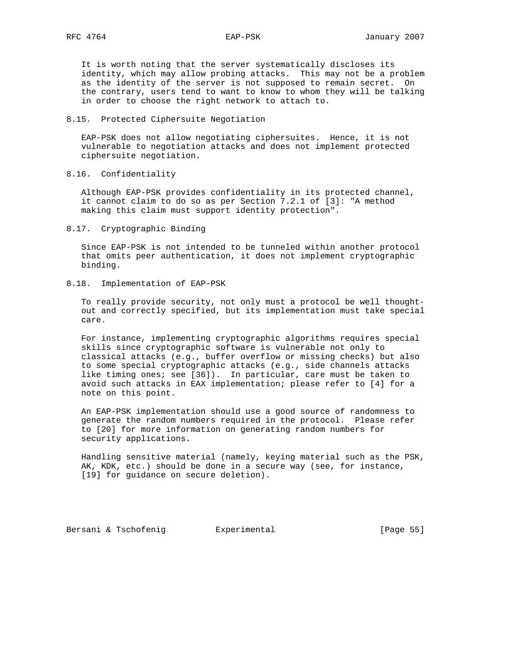It is worth noting that the server systematically discloses its identity, which may allow probing attacks. This may not be a problem as the identity of the server is not supposed to remain secret. On the contrary, users tend to want to know to whom they will be talking in order to choose the right network to attach to.

## 8.15. Protected Ciphersuite Negotiation

 EAP-PSK does not allow negotiating ciphersuites. Hence, it is not vulnerable to negotiation attacks and does not implement protected ciphersuite negotiation.

8.16. Confidentiality

 Although EAP-PSK provides confidentiality in its protected channel, it cannot claim to do so as per Section 7.2.1 of [3]: "A method making this claim must support identity protection".

8.17. Cryptographic Binding

 Since EAP-PSK is not intended to be tunneled within another protocol that omits peer authentication, it does not implement cryptographic binding.

8.18. Implementation of EAP-PSK

 To really provide security, not only must a protocol be well thought out and correctly specified, but its implementation must take special care.

 For instance, implementing cryptographic algorithms requires special skills since cryptographic software is vulnerable not only to classical attacks (e.g., buffer overflow or missing checks) but also to some special cryptographic attacks (e.g., side channels attacks like timing ones; see [36]). In particular, care must be taken to avoid such attacks in EAX implementation; please refer to [4] for a note on this point.

 An EAP-PSK implementation should use a good source of randomness to generate the random numbers required in the protocol. Please refer to [20] for more information on generating random numbers for security applications.

 Handling sensitive material (namely, keying material such as the PSK, AK, KDK, etc.) should be done in a secure way (see, for instance, [19] for guidance on secure deletion).

Bersani & Tschofenig  $\qquad \qquad$  Experimental [Page 55]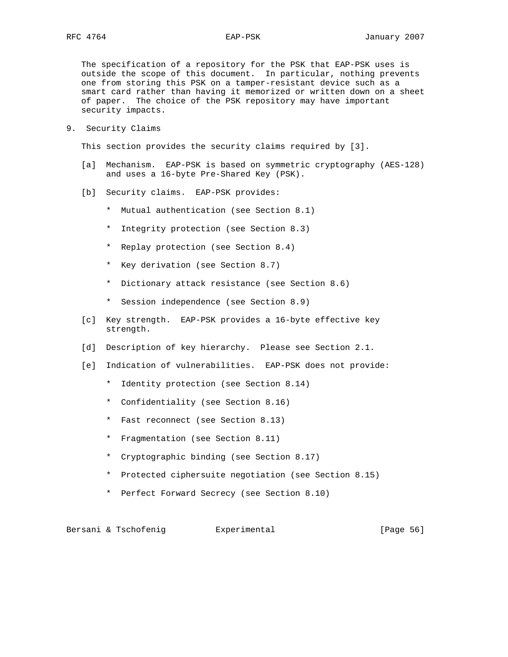The specification of a repository for the PSK that EAP-PSK uses is outside the scope of this document. In particular, nothing prevents one from storing this PSK on a tamper-resistant device such as a smart card rather than having it memorized or written down on a sheet of paper. The choice of the PSK repository may have important security impacts.

9. Security Claims

This section provides the security claims required by [3].

- [a] Mechanism. EAP-PSK is based on symmetric cryptography (AES-128) and uses a 16-byte Pre-Shared Key (PSK).
- [b] Security claims. EAP-PSK provides:
	- \* Mutual authentication (see Section 8.1)
	- \* Integrity protection (see Section 8.3)
	- \* Replay protection (see Section 8.4)
	- \* Key derivation (see Section 8.7)
	- \* Dictionary attack resistance (see Section 8.6)
	- \* Session independence (see Section 8.9)
- [c] Key strength. EAP-PSK provides a 16-byte effective key strength.
- [d] Description of key hierarchy. Please see Section 2.1.
- [e] Indication of vulnerabilities. EAP-PSK does not provide:
	- \* Identity protection (see Section 8.14)
	- \* Confidentiality (see Section 8.16)
	- \* Fast reconnect (see Section 8.13)
	- \* Fragmentation (see Section 8.11)
	- \* Cryptographic binding (see Section 8.17)
	- \* Protected ciphersuite negotiation (see Section 8.15)
	- \* Perfect Forward Secrecy (see Section 8.10)

Bersani & Tschofenig  $\qquad \qquad$  Experimental [Page 56]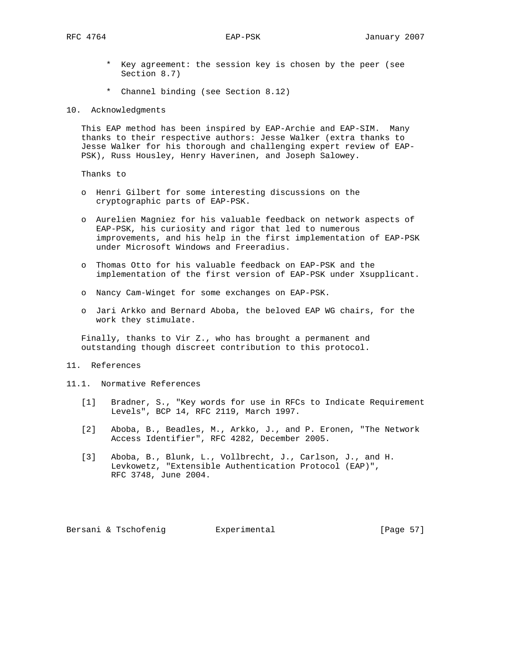- \* Key agreement: the session key is chosen by the peer (see Section 8.7)
- \* Channel binding (see Section 8.12)

10. Acknowledgments

 This EAP method has been inspired by EAP-Archie and EAP-SIM. Many thanks to their respective authors: Jesse Walker (extra thanks to Jesse Walker for his thorough and challenging expert review of EAP- PSK), Russ Housley, Henry Haverinen, and Joseph Salowey.

Thanks to

- o Henri Gilbert for some interesting discussions on the cryptographic parts of EAP-PSK.
- o Aurelien Magniez for his valuable feedback on network aspects of EAP-PSK, his curiosity and rigor that led to numerous improvements, and his help in the first implementation of EAP-PSK under Microsoft Windows and Freeradius.
- o Thomas Otto for his valuable feedback on EAP-PSK and the implementation of the first version of EAP-PSK under Xsupplicant.
- o Nancy Cam-Winget for some exchanges on EAP-PSK.
- o Jari Arkko and Bernard Aboba, the beloved EAP WG chairs, for the work they stimulate.

 Finally, thanks to Vir Z., who has brought a permanent and outstanding though discreet contribution to this protocol.

## 11. References

- 11.1. Normative References
	- [1] Bradner, S., "Key words for use in RFCs to Indicate Requirement Levels", BCP 14, RFC 2119, March 1997.
	- [2] Aboba, B., Beadles, M., Arkko, J., and P. Eronen, "The Network Access Identifier", RFC 4282, December 2005.
	- [3] Aboba, B., Blunk, L., Vollbrecht, J., Carlson, J., and H. Levkowetz, "Extensible Authentication Protocol (EAP)", RFC 3748, June 2004.

Bersani & Tschofenig  $\qquad \qquad$  Experimental [Page 57]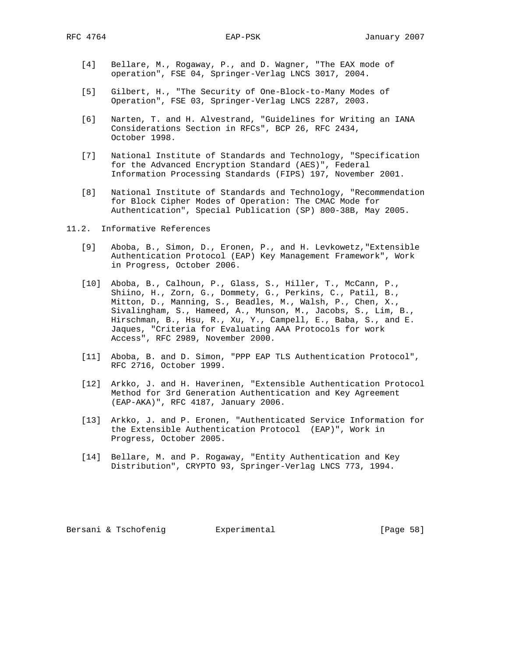- [4] Bellare, M., Rogaway, P., and D. Wagner, "The EAX mode of operation", FSE 04, Springer-Verlag LNCS 3017, 2004.
- [5] Gilbert, H., "The Security of One-Block-to-Many Modes of Operation", FSE 03, Springer-Verlag LNCS 2287, 2003.
- [6] Narten, T. and H. Alvestrand, "Guidelines for Writing an IANA Considerations Section in RFCs", BCP 26, RFC 2434, October 1998.
- [7] National Institute of Standards and Technology, "Specification for the Advanced Encryption Standard (AES)", Federal Information Processing Standards (FIPS) 197, November 2001.
- [8] National Institute of Standards and Technology, "Recommendation for Block Cipher Modes of Operation: The CMAC Mode for Authentication", Special Publication (SP) 800-38B, May 2005.
- 11.2. Informative References
	- [9] Aboba, B., Simon, D., Eronen, P., and H. Levkowetz,"Extensible Authentication Protocol (EAP) Key Management Framework", Work in Progress, October 2006.
	- [10] Aboba, B., Calhoun, P., Glass, S., Hiller, T., McCann, P., Shiino, H., Zorn, G., Dommety, G., Perkins, C., Patil, B., Mitton, D., Manning, S., Beadles, M., Walsh, P., Chen, X., Sivalingham, S., Hameed, A., Munson, M., Jacobs, S., Lim, B., Hirschman, B., Hsu, R., Xu, Y., Campell, E., Baba, S., and E. Jaques, "Criteria for Evaluating AAA Protocols for work Access", RFC 2989, November 2000.
	- [11] Aboba, B. and D. Simon, "PPP EAP TLS Authentication Protocol", RFC 2716, October 1999.
	- [12] Arkko, J. and H. Haverinen, "Extensible Authentication Protocol Method for 3rd Generation Authentication and Key Agreement (EAP-AKA)", RFC 4187, January 2006.
	- [13] Arkko, J. and P. Eronen, "Authenticated Service Information for the Extensible Authentication Protocol (EAP)", Work in Progress, October 2005.
	- [14] Bellare, M. and P. Rogaway, "Entity Authentication and Key Distribution", CRYPTO 93, Springer-Verlag LNCS 773, 1994.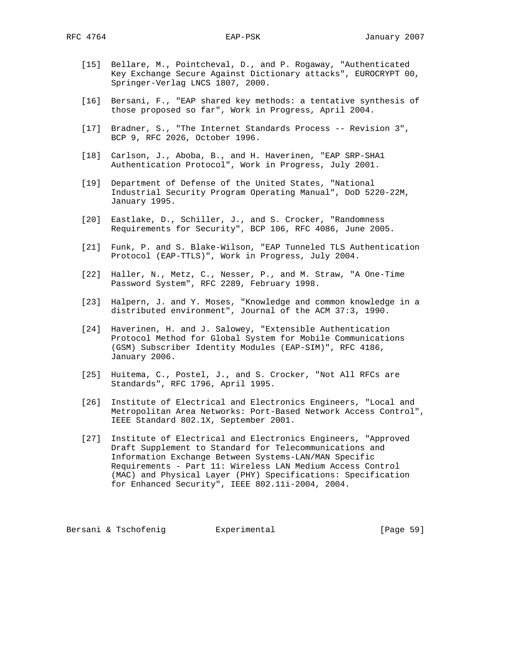- [15] Bellare, M., Pointcheval, D., and P. Rogaway, "Authenticated Key Exchange Secure Against Dictionary attacks", EUROCRYPT 00, Springer-Verlag LNCS 1807, 2000.
- [16] Bersani, F., "EAP shared key methods: a tentative synthesis of those proposed so far", Work in Progress, April 2004.
- [17] Bradner, S., "The Internet Standards Process -- Revision 3", BCP 9, RFC 2026, October 1996.
- [18] Carlson, J., Aboba, B., and H. Haverinen, "EAP SRP-SHA1 Authentication Protocol", Work in Progress, July 2001.
- [19] Department of Defense of the United States, "National Industrial Security Program Operating Manual", DoD 5220-22M, January 1995.
- [20] Eastlake, D., Schiller, J., and S. Crocker, "Randomness Requirements for Security", BCP 106, RFC 4086, June 2005.
- [21] Funk, P. and S. Blake-Wilson, "EAP Tunneled TLS Authentication Protocol (EAP-TTLS)", Work in Progress, July 2004.
- [22] Haller, N., Metz, C., Nesser, P., and M. Straw, "A One-Time Password System", RFC 2289, February 1998.
- [23] Halpern, J. and Y. Moses, "Knowledge and common knowledge in a distributed environment", Journal of the ACM 37:3, 1990.
- [24] Haverinen, H. and J. Salowey, "Extensible Authentication Protocol Method for Global System for Mobile Communications (GSM) Subscriber Identity Modules (EAP-SIM)", RFC 4186, January 2006.
- [25] Huitema, C., Postel, J., and S. Crocker, "Not All RFCs are Standards", RFC 1796, April 1995.
- [26] Institute of Electrical and Electronics Engineers, "Local and Metropolitan Area Networks: Port-Based Network Access Control", IEEE Standard 802.1X, September 2001.
- [27] Institute of Electrical and Electronics Engineers, "Approved Draft Supplement to Standard for Telecommunications and Information Exchange Between Systems-LAN/MAN Specific Requirements - Part 11: Wireless LAN Medium Access Control (MAC) and Physical Layer (PHY) Specifications: Specification for Enhanced Security", IEEE 802.11i-2004, 2004.

Bersani & Tschofenig **Experimental** [Page 59]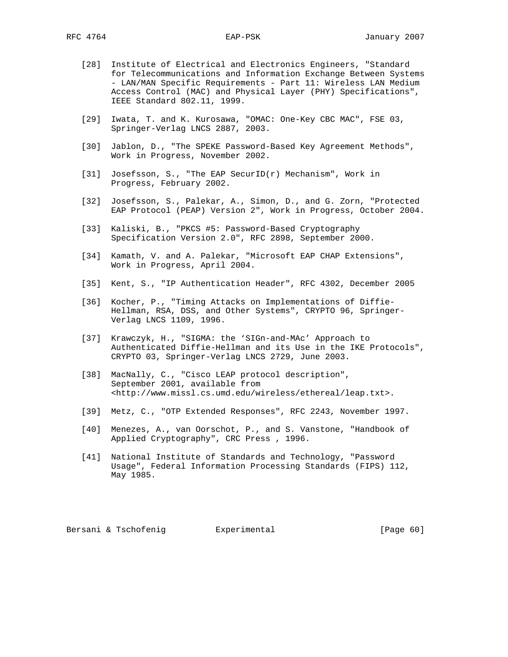- [28] Institute of Electrical and Electronics Engineers, "Standard for Telecommunications and Information Exchange Between Systems - LAN/MAN Specific Requirements - Part 11: Wireless LAN Medium Access Control (MAC) and Physical Layer (PHY) Specifications", IEEE Standard 802.11, 1999.
- [29] Iwata, T. and K. Kurosawa, "OMAC: One-Key CBC MAC", FSE 03, Springer-Verlag LNCS 2887, 2003.
- [30] Jablon, D., "The SPEKE Password-Based Key Agreement Methods", Work in Progress, November 2002.
- [31] Josefsson, S., "The EAP SecurID(r) Mechanism", Work in Progress, February 2002.
- [32] Josefsson, S., Palekar, A., Simon, D., and G. Zorn, "Protected EAP Protocol (PEAP) Version 2", Work in Progress, October 2004.
- [33] Kaliski, B., "PKCS #5: Password-Based Cryptography Specification Version 2.0", RFC 2898, September 2000.
- [34] Kamath, V. and A. Palekar, "Microsoft EAP CHAP Extensions", Work in Progress, April 2004.
- [35] Kent, S., "IP Authentication Header", RFC 4302, December 2005
- [36] Kocher, P., "Timing Attacks on Implementations of Diffie- Hellman, RSA, DSS, and Other Systems", CRYPTO 96, Springer- Verlag LNCS 1109, 1996.
- [37] Krawczyk, H., "SIGMA: the 'SIGn-and-MAc' Approach to Authenticated Diffie-Hellman and its Use in the IKE Protocols", CRYPTO 03, Springer-Verlag LNCS 2729, June 2003.
- [38] MacNally, C., "Cisco LEAP protocol description", September 2001, available from <http://www.missl.cs.umd.edu/wireless/ethereal/leap.txt>.
- [39] Metz, C., "OTP Extended Responses", RFC 2243, November 1997.
- [40] Menezes, A., van Oorschot, P., and S. Vanstone, "Handbook of Applied Cryptography", CRC Press , 1996.
- [41] National Institute of Standards and Technology, "Password Usage", Federal Information Processing Standards (FIPS) 112, May 1985.

Bersani & Tschofenig  $\qquad \qquad$  Experimental [Page 60]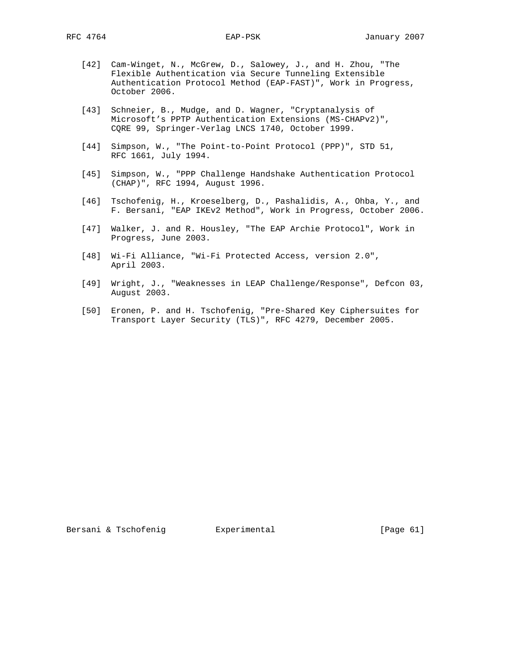- [42] Cam-Winget, N., McGrew, D., Salowey, J., and H. Zhou, "The Flexible Authentication via Secure Tunneling Extensible Authentication Protocol Method (EAP-FAST)", Work in Progress, October 2006.
- [43] Schneier, B., Mudge, and D. Wagner, "Cryptanalysis of Microsoft's PPTP Authentication Extensions (MS-CHAPv2)", CQRE 99, Springer-Verlag LNCS 1740, October 1999.
- [44] Simpson, W., "The Point-to-Point Protocol (PPP)", STD 51, RFC 1661, July 1994.
- [45] Simpson, W., "PPP Challenge Handshake Authentication Protocol (CHAP)", RFC 1994, August 1996.
- [46] Tschofenig, H., Kroeselberg, D., Pashalidis, A., Ohba, Y., and F. Bersani, "EAP IKEv2 Method", Work in Progress, October 2006.
- [47] Walker, J. and R. Housley, "The EAP Archie Protocol", Work in Progress, June 2003.
- [48] Wi-Fi Alliance, "Wi-Fi Protected Access, version 2.0", April 2003.
- [49] Wright, J., "Weaknesses in LEAP Challenge/Response", Defcon 03, August 2003.
- [50] Eronen, P. and H. Tschofenig, "Pre-Shared Key Ciphersuites for Transport Layer Security (TLS)", RFC 4279, December 2005.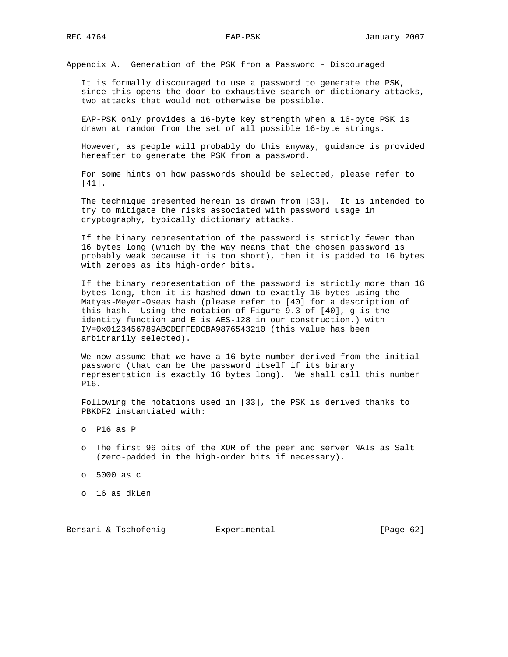Appendix A. Generation of the PSK from a Password - Discouraged

 It is formally discouraged to use a password to generate the PSK, since this opens the door to exhaustive search or dictionary attacks, two attacks that would not otherwise be possible.

 EAP-PSK only provides a 16-byte key strength when a 16-byte PSK is drawn at random from the set of all possible 16-byte strings.

 However, as people will probably do this anyway, guidance is provided hereafter to generate the PSK from a password.

 For some hints on how passwords should be selected, please refer to [41].

 The technique presented herein is drawn from [33]. It is intended to try to mitigate the risks associated with password usage in cryptography, typically dictionary attacks.

 If the binary representation of the password is strictly fewer than 16 bytes long (which by the way means that the chosen password is probably weak because it is too short), then it is padded to 16 bytes with zeroes as its high-order bits.

 If the binary representation of the password is strictly more than 16 bytes long, then it is hashed down to exactly 16 bytes using the Matyas-Meyer-Oseas hash (please refer to [40] for a description of this hash. Using the notation of Figure 9.3 of [40], g is the identity function and E is AES-128 in our construction.) with IV=0x0123456789ABCDEFFEDCBA9876543210 (this value has been arbitrarily selected).

 We now assume that we have a 16-byte number derived from the initial password (that can be the password itself if its binary representation is exactly 16 bytes long). We shall call this number P16.

 Following the notations used in [33], the PSK is derived thanks to PBKDF2 instantiated with:

- o P16 as P
- o The first 96 bits of the XOR of the peer and server NAIs as Salt (zero-padded in the high-order bits if necessary).
- o 5000 as c
- o 16 as dkLen

Bersani & Tschofenig **Experimental Experimental** [Page 62]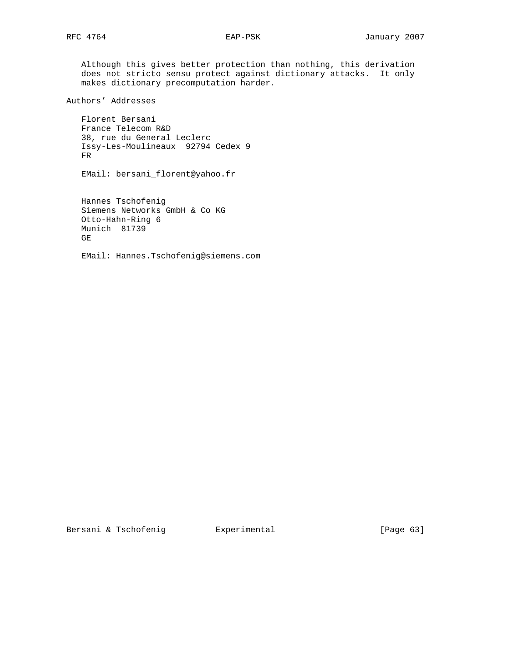Although this gives better protection than nothing, this derivation does not stricto sensu protect against dictionary attacks. It only makes dictionary precomputation harder.

Authors' Addresses

 Florent Bersani France Telecom R&D 38, rue du General Leclerc Issy-Les-Moulineaux 92794 Cedex 9 FR

EMail: bersani\_florent@yahoo.fr

 Hannes Tschofenig Siemens Networks GmbH & Co KG Otto-Hahn-Ring 6 Munich 81739 GE

EMail: Hannes.Tschofenig@siemens.com